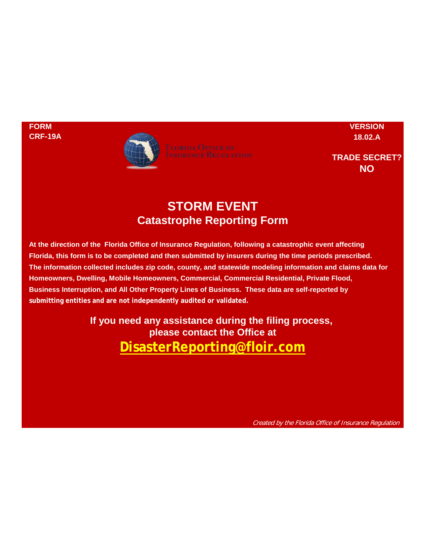

**FORM VERSION**

**TRADE SECRET? NO**

## **STORM EVENT Catastrophe Reporting Form**

**Florida, this form is to be completed and then submitted by insurers during the time periods prescribed. The information collected includes zip code, county, and statewide modeling information and claims data for At the direction of the Florida Office of Insurance Regulation, following a catastrophic event affecting Business Interruption, and All Other Property Lines of Business. These data are self-reported by submitting entities and are not independently audited or validated. Homeowners, Dwelling, Mobile Homeowners, Commercial, Commercial Residential, Private Flood,**

> **please contact the Office at DisasterReporting@floir.com If you need any assistance during the filing process,**

> > Created by the Florida Office of Insurance Regulation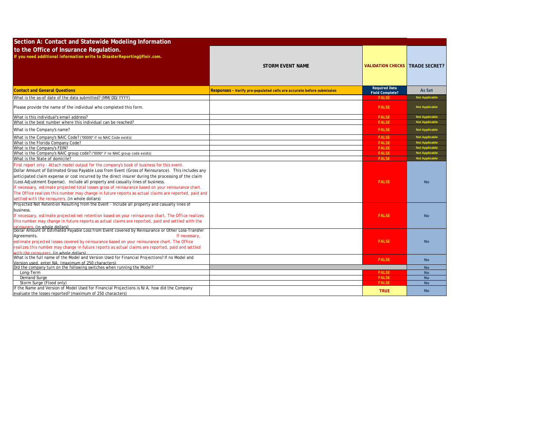| Section A: Contact and Statewide Modeling Information                                                                                                                                                                                                                                                                                                                                                                                                                                                                                                                                                                                                                                                                                                         |                                                                       |                                                |                        |
|---------------------------------------------------------------------------------------------------------------------------------------------------------------------------------------------------------------------------------------------------------------------------------------------------------------------------------------------------------------------------------------------------------------------------------------------------------------------------------------------------------------------------------------------------------------------------------------------------------------------------------------------------------------------------------------------------------------------------------------------------------------|-----------------------------------------------------------------------|------------------------------------------------|------------------------|
| to the Office of Insurance Regulation.<br>If you need additional information write to DisasterReporting@floir.com.                                                                                                                                                                                                                                                                                                                                                                                                                                                                                                                                                                                                                                            |                                                                       |                                                |                        |
|                                                                                                                                                                                                                                                                                                                                                                                                                                                                                                                                                                                                                                                                                                                                                               | <b>STORM EVENT NAME</b>                                               | <b>VALIDATION CHECKS   TRADE SECRET?</b>       |                        |
| <b>Contact and General Questions</b>                                                                                                                                                                                                                                                                                                                                                                                                                                                                                                                                                                                                                                                                                                                          | Responses - Verify pre-populated cells are accurate before submission | <b>Required Data</b><br><b>Field Complete?</b> | <b>As Set</b>          |
| What is the as-of date of the data submitted? (MM/DD/YYYY)                                                                                                                                                                                                                                                                                                                                                                                                                                                                                                                                                                                                                                                                                                    |                                                                       | <b>FALSE</b>                                   | <b>Not Applicabl</b>   |
| Please provide the name of the individual who completed this form.                                                                                                                                                                                                                                                                                                                                                                                                                                                                                                                                                                                                                                                                                            |                                                                       | <b>FALSE</b>                                   | <b>Not Applicable</b>  |
| What is this individual's email address?                                                                                                                                                                                                                                                                                                                                                                                                                                                                                                                                                                                                                                                                                                                      |                                                                       | <b>FALSE</b>                                   | <b>Not Applicable</b>  |
| What is the best number where this individual can be reached?                                                                                                                                                                                                                                                                                                                                                                                                                                                                                                                                                                                                                                                                                                 |                                                                       | <b>FAISE</b>                                   | <b>Not Applicable</b>  |
| What is the Company's name?                                                                                                                                                                                                                                                                                                                                                                                                                                                                                                                                                                                                                                                                                                                                   |                                                                       | <b>FALSE</b>                                   | <b>Not Applicable</b>  |
| What is the Company's NAIC Code? ("00000" if no NAIC Code exists)                                                                                                                                                                                                                                                                                                                                                                                                                                                                                                                                                                                                                                                                                             |                                                                       | <b>FALSE</b>                                   | <b>Not Applicable</b>  |
| What is the Florida Company Code?                                                                                                                                                                                                                                                                                                                                                                                                                                                                                                                                                                                                                                                                                                                             |                                                                       | <b>FALSE</b>                                   | <b>Not Applicable</b>  |
| What is the Company's FEIN?                                                                                                                                                                                                                                                                                                                                                                                                                                                                                                                                                                                                                                                                                                                                   |                                                                       | <b>FALSE</b>                                   | <b>Not Applicable</b>  |
| What is the Company's NAIC group code? ("0000" if no NAIC group code exists)                                                                                                                                                                                                                                                                                                                                                                                                                                                                                                                                                                                                                                                                                  |                                                                       | <b>FALSE</b>                                   | Not Applicable         |
| What is the State of domicile?                                                                                                                                                                                                                                                                                                                                                                                                                                                                                                                                                                                                                                                                                                                                |                                                                       | <b>FALSE</b>                                   | Not Applicable         |
| First report only - Attach model output for the company's book of business for this event.<br>Dollar Amount of Estimated Gross Payable Loss from Event (Gross of Reinsurance). This includes any<br>anticipated claim expense or cost incurred by the direct insurer during the processing of the claim<br>(Loss Adjustment Expense). Include all property and casualty lines of business.<br>If necessary, estimate projected total losses gross of reinsurance based on your reinsurance chart.<br>The Office realizes this number may change in future reports as actual claims are reported, paid and<br>settled with the reinsurers. (in whole dollars)<br>Projected Net Retention Resulting from the Event - Include all property and casualty lines of |                                                                       | <b>FALSE</b>                                   | <b>No</b>              |
| business.<br>If necessary, estimate projected net retention based on your reinsurance chart. The Office realizes<br>this number may change in future reports as actual claims are reported, paid and settled with the                                                                                                                                                                                                                                                                                                                                                                                                                                                                                                                                         |                                                                       | <b>FALSE</b>                                   | <b>No</b>              |
| reinsurers, (in whole dollars)<br>Dollar Amount of Estimated Payable Loss from Event covered by Reinsurance or Other Loss-Transfer<br>If necessary,<br>Agreements.<br>estimate projected losses covered by reinsurance based on your reinsurance chart. The Office<br>realizes this number may change in future reports as actual claims are reported, paid and settled<br>with the reinsurers (in whole dollars)                                                                                                                                                                                                                                                                                                                                             |                                                                       | <b>FALSE</b>                                   | <b>No</b>              |
| What is the full name of the Model and Version Used for Financial Projections? If no Model and                                                                                                                                                                                                                                                                                                                                                                                                                                                                                                                                                                                                                                                                |                                                                       | <b>FALSE</b>                                   | <b>No</b>              |
| Version used, enter NA, (maximum of 250 characters)                                                                                                                                                                                                                                                                                                                                                                                                                                                                                                                                                                                                                                                                                                           |                                                                       |                                                |                        |
| Did the company turn on the following switches when running the Model?                                                                                                                                                                                                                                                                                                                                                                                                                                                                                                                                                                                                                                                                                        |                                                                       |                                                | <b>No</b>              |
| Long-Term<br>Demand Surge                                                                                                                                                                                                                                                                                                                                                                                                                                                                                                                                                                                                                                                                                                                                     |                                                                       | <b>FALSE</b><br><b>FALSE</b>                   | <b>No</b>              |
| Storm Surge (Flood only)                                                                                                                                                                                                                                                                                                                                                                                                                                                                                                                                                                                                                                                                                                                                      |                                                                       | <b>FALSE</b>                                   | <b>No</b><br><b>No</b> |
| f the Name and Version of Model Used for Financial Projections is N/A, how did the Company                                                                                                                                                                                                                                                                                                                                                                                                                                                                                                                                                                                                                                                                    |                                                                       |                                                |                        |
| evaluate the losses reported? (maximum of 250 characters)                                                                                                                                                                                                                                                                                                                                                                                                                                                                                                                                                                                                                                                                                                     |                                                                       | <b>TRUE</b>                                    | <b>No</b>              |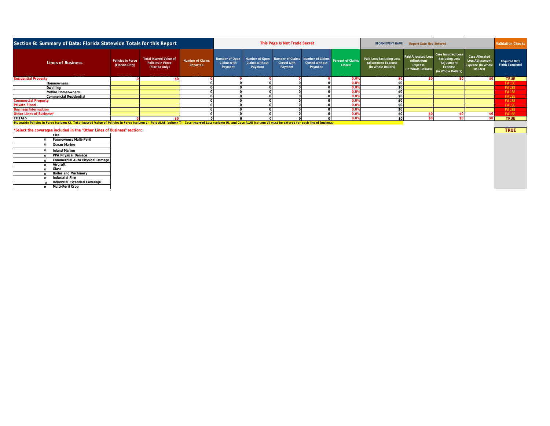| Section B: Summary of Data: Florida Statewide Totals for this Report                                                                                                                                                  |                                            |                                                                             | This Page Is Not Trade Secret       |                               |                                  | <b>STORM EVENT NAME</b><br><b>Report Date Not Entered</b>                                        |                                  |                             |                                                                             | <b>Validation Checks</b>                                                  |                                                                                                   |                                                                                         |                                          |
|-----------------------------------------------------------------------------------------------------------------------------------------------------------------------------------------------------------------------|--------------------------------------------|-----------------------------------------------------------------------------|-------------------------------------|-------------------------------|----------------------------------|--------------------------------------------------------------------------------------------------|----------------------------------|-----------------------------|-----------------------------------------------------------------------------|---------------------------------------------------------------------------|---------------------------------------------------------------------------------------------------|-----------------------------------------------------------------------------------------|------------------------------------------|
| <b>Lines of Business</b>                                                                                                                                                                                              | <b>Policies in Force</b><br>(Florida Only) | <b>Total Insured Value of</b><br><b>Policies in Force</b><br>(Florida Only) | <b>Number of Claims</b><br>Reported | <b>Claims with</b><br>Payment | <b>Claims without</b><br>Payment | Number of Open Number of Open Number of Claims Number of Claims<br><b>Closed with</b><br>Payment | <b>Closed without</b><br>Payment | Percent of Claims<br>Closed | Paid Loss Excluding Loss<br><b>Adjustment Expense</b><br>(in Whole Dollars) | <b>Paid Allocated Loss</b><br>Adjustment<br>Expense<br>(in Whole Dollars) | <b>Case Incurred Loss</b><br><b>Excluding Loss</b><br>Adjustment<br>Expense<br>(in Whole Dollars) | <b>Case Allocated</b><br><b>Loss Adjustment</b><br><b>Expense (in Whole</b><br>Dollars) | <b>Required Data</b><br>Fields Complete? |
| <b>Residential Property</b>                                                                                                                                                                                           |                                            |                                                                             |                                     |                               |                                  |                                                                                                  |                                  | 0.0%                        |                                                                             |                                                                           |                                                                                                   |                                                                                         | <b>TRUE</b>                              |
| Homeowners                                                                                                                                                                                                            |                                            |                                                                             |                                     |                               |                                  |                                                                                                  |                                  | 0.0%                        |                                                                             |                                                                           |                                                                                                   |                                                                                         | <b>FALSE</b>                             |
| Dwelling                                                                                                                                                                                                              |                                            |                                                                             |                                     |                               |                                  |                                                                                                  |                                  | 0.0%                        |                                                                             |                                                                           |                                                                                                   |                                                                                         | <b>FALSE</b>                             |
| <b>Mobile Homeowners</b>                                                                                                                                                                                              |                                            |                                                                             |                                     |                               |                                  |                                                                                                  |                                  | 0.0%                        | $$^{(1)}$$                                                                  |                                                                           |                                                                                                   |                                                                                         | <b>FALSE</b>                             |
| <b>Commercial Residential</b>                                                                                                                                                                                         |                                            |                                                                             |                                     |                               |                                  |                                                                                                  |                                  | 0.0%                        |                                                                             |                                                                           |                                                                                                   |                                                                                         | <b>FALSE</b>                             |
| <b>Commercial Property</b>                                                                                                                                                                                            |                                            |                                                                             |                                     |                               |                                  |                                                                                                  |                                  | 0.0%                        | $\mathsf{S}$                                                                |                                                                           |                                                                                                   |                                                                                         | <b>FALSE</b>                             |
| <b>Private Flood</b>                                                                                                                                                                                                  |                                            |                                                                             |                                     |                               |                                  |                                                                                                  |                                  | 0.0%                        |                                                                             |                                                                           |                                                                                                   |                                                                                         | <b>FALSE</b>                             |
| <b>Business Interruption</b>                                                                                                                                                                                          |                                            |                                                                             |                                     |                               |                                  |                                                                                                  |                                  | 0.0%                        |                                                                             |                                                                           |                                                                                                   |                                                                                         | <b>FALSE</b>                             |
| Other Lines of Business*                                                                                                                                                                                              |                                            |                                                                             |                                     |                               |                                  |                                                                                                  |                                  | 0.0%                        | \$ <sub>6</sub>                                                             |                                                                           |                                                                                                   |                                                                                         | <b>FALSE</b>                             |
| <b>TOTALS</b>                                                                                                                                                                                                         |                                            |                                                                             |                                     |                               |                                  |                                                                                                  |                                  | 0.0%                        | \$ <sub>0</sub>                                                             |                                                                           |                                                                                                   |                                                                                         | <b>TRUE</b>                              |
| Statewide Policies in Force (column K), Total Insured Value of Policies in Force (column L), Paid ALAE (column T), Case Incurred Loss (column U), and Case ALAE (column V) must be entered for each line of business. |                                            |                                                                             |                                     |                               |                                  |                                                                                                  |                                  |                             |                                                                             |                                                                           |                                                                                                   |                                                                                         |                                          |

\*Select the coverages included in the "Other Lines of Business" section:

**TRUE** 

|   | Fire                                   |
|---|----------------------------------------|
| ۰ | Farmowners Multi-Peril                 |
|   | Ocean Marine                           |
| ۰ | <b>Inland Marine</b>                   |
|   | PPA Physical Damage                    |
|   | <b>Commercial Auto Physical Damage</b> |
|   | Aircraft                               |
|   | Glass                                  |
|   | <b>Boiler and Machinery</b>            |
|   | <b>Industrial Fire</b>                 |
|   | n Industrial Extended Coverage         |
|   | a Multi-Peril Crop                     |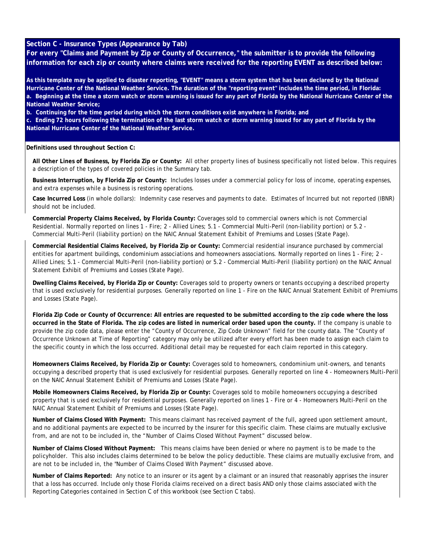## **Section C - Insurance Types (Appearance by Tab)**

**For every "Claims and Payment by Zip or County of Occurrence," the submitter is to provide the following information for each zip or county where claims were received for the reporting EVENT as described below:**

**As this template may be applied to disaster reporting, "EVENT" means a storm system that has been declared by the National Hurricane Center of the National Weather Service. The duration of the "reporting event" includes the time period, in Florida: a. Beginning at the time a storm watch or storm warning is issued for any part of Florida by the National Hurricane Center of the National Weather Service;** 

**b. Continuing for the time period during which the storm conditions exist anywhere in Florida; and** 

**c. Ending 72 hours following the termination of the last storm watch or storm warning issued for any part of Florida by the National Hurricane Center of the National Weather Service.**

**Definitions used throughout Section C:**

**All Other Lines of Business, by Florida Zip or County:** All other property lines of business specifically not listed below. This requires a description of the types of covered policies in the Summary tab.

**Business Interruption, by Florida Zip or County:** Includes losses under a commercial policy for loss of income, operating expenses, and extra expenses while a business is restoring operations.

**Case Incurred Loss** (in whole dollars): Indemnity case reserves and payments to date. Estimates of Incurred but not reported (IBNR) should not be included.

**Commercial Property Claims Received, by Florida County:** Coverages sold to commercial owners which is not Commercial Residential. Normally reported on lines 1 - Fire; 2 - Allied Lines; 5.1 - Commercial Multi-Peril (non-liability portion) or 5.2 - Commercial Multi-Peril (liability portion) on the NAIC Annual Statement Exhibit of Premiums and Losses (State Page).

**Commercial Residential Claims Received, by Florida Zip or County:** Commercial residential insurance purchased by commercial entities for apartment buildings, condominium associations and homeowners associations. Normally reported on lines 1 - Fire; 2 - Allied Lines; 5.1 - Commercial Multi-Peril (non-liability portion) or 5.2 - Commercial Multi-Peril (liability portion) on the NAIC Annual Statement Exhibit of Premiums and Losses (State Page).

**Dwelling Claims Received, by Florida Zip or County:** Coverages sold to property owners or tenants occupying a described property that is used exclusively for residential purposes. Generally reported on line 1 - Fire on the NAIC Annual Statement Exhibit of Premiums and Losses (State Page).

**Florida Zip Code or County of Occurrence: All entries are requested to be submitted according to the zip code where the loss occurred in the State of Florida. The zip codes are listed in numerical order based upon the county.** If the company is unable to provide the zip code data, please enter the "County of Occurrence, Zip Code Unknown" field for the county data. The "County of Occurrence Unknown at Time of Reporting" category may only be utilized after every effort has been made to assign each claim to the specific county in which the loss occurred. Additional detail may be requested for each claim reported in this category.

**Homeowners Claims Received, by Florida Zip or County:** Coverages sold to homeowners, condominium unit-owners, and tenants occupying a described property that is used exclusively for residential purposes. Generally reported on line 4 - Homeowners Multi-Peril on the NAIC Annual Statement Exhibit of Premiums and Losses (State Page).

**Mobile Homeowners Claims Received, by Florida Zip or County:** Coverages sold to mobile homeowners occupying a described property that is used exclusively for residential purposes. Generally reported on lines 1 - Fire or 4 - Homeowners Multi-Peril on the NAIC Annual Statement Exhibit of Premiums and Losses (State Page).

**Number of Claims Closed With Payment:** This means claimant has received payment of the full, agreed upon settlement amount, and no additional payments are expected to be incurred by the insurer for this specific claim. These claims are mutually exclusive from, and are not to be included in, the "Number of Claims Closed Without Payment" discussed below.

**Number of Claims Closed Without Payment:** This means claims have been denied or where no payment is to be made to the policyholder. This also includes claims determined to be below the policy deductible. These claims are mutually exclusive from, and are not to be included in, the "Number of Claims Closed With Payment" discussed above.

**Number of Claims Reported:** Any notice to an insurer or its agent by a claimant or an insured that reasonably apprises the insurer that a loss has occurred. Include only those Florida claims received on a direct basis AND only those claims associated with the Reporting Categories contained in Section C of this workbook (see Section C tabs).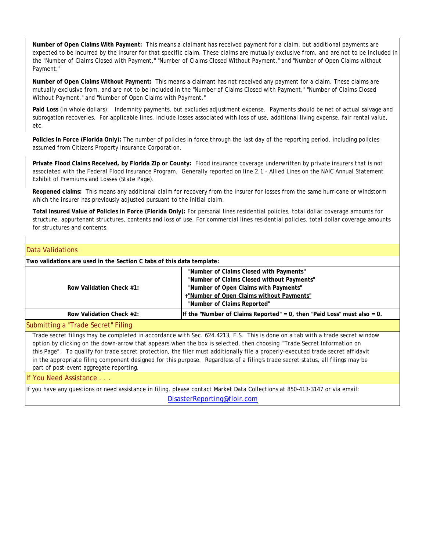**Number of Open Claims With Payment:** This means a claimant has received payment for a claim, but additional payments are expected to be incurred by the insurer for that specific claim. These claims are mutually exclusive from, and are not to be included in the "Number of Claims Closed with Payment," "Number of Claims Closed Without Payment," and "Number of Open Claims without Payment."

**Number of Open Claims Without Payment:** This means a claimant has not received any payment for a claim. These claims are mutually exclusive from, and are not to be included in the "Number of Claims Closed with Payment," "Number of Claims Closed Without Payment," and "Number of Open Claims with Payment."

**Paid Loss** (in whole dollars): Indemnity payments, but excludes adjustment expense. Payments should be net of actual salvage and subrogation recoveries. For applicable lines, include losses associated with loss of use, additional living expense, fair rental value, etc.

**Policies in Force (Florida Only):** The number of policies in force through the last day of the reporting period, including policies assumed from Citizens Property Insurance Corporation.

**Private Flood Claims Received, by Florida Zip or County:** Flood insurance coverage underwritten by private insurers that is not associated with the Federal Flood Insurance Program. Generally reported on line 2.1 - Allied Lines on the NAIC Annual Statement Exhibit of Premiums and Losses (State Page).

**Reopened claims:** This means any additional claim for recovery from the insurer for losses from the same hurricane or windstorm which the insurer has previously adjusted pursuant to the initial claim.

**Total Insured Value of Policies in Force (Florida Only):** For personal lines residential policies, total dollar coverage amounts for structure, appurtenant structures, contents and loss of use. For commercial lines residential policies, total dollar coverage amounts for structures and contents.

## Data Validations

| Two validations are used in the Section C tabs of this data template: |                                                                                                                                 |  |  |  |  |  |  |  |
|-----------------------------------------------------------------------|---------------------------------------------------------------------------------------------------------------------------------|--|--|--|--|--|--|--|
|                                                                       | "Number of Claims Closed with Payments"<br>"Number of Claims Closed without Payments"                                           |  |  |  |  |  |  |  |
|                                                                       |                                                                                                                                 |  |  |  |  |  |  |  |
| Row Validation Check #1:                                              | "Number of Open Claims with Payments"                                                                                           |  |  |  |  |  |  |  |
|                                                                       | +"Number of Open Claims without Payments"                                                                                       |  |  |  |  |  |  |  |
|                                                                       | "Number of Claims Reported"                                                                                                     |  |  |  |  |  |  |  |
| Row Validation Check #2:                                              | If the "Number of Claims Reported" = $0$ , then "Paid Loss" must also = $0$ .                                                   |  |  |  |  |  |  |  |
| Submitting a "Trade Secret" Filing                                    |                                                                                                                                 |  |  |  |  |  |  |  |
|                                                                       | Trade secret filings may be completed in accordance with Sec. 624.4213, F.S. This is done on a tab with a trade secret window   |  |  |  |  |  |  |  |
|                                                                       | option by clicking on the down-arrow that appears when the box is selected, then choosing "Trade Secret Information on          |  |  |  |  |  |  |  |
|                                                                       | this Page". To qualify for trade secret protection, the filer must additionally file a properly-executed trade secret affidavit |  |  |  |  |  |  |  |
|                                                                       | in the appropriate filing component designed for this purpose. Regardless of a filing's trade secret status, all filings may be |  |  |  |  |  |  |  |
| part of post-event aggregate reporting.                               |                                                                                                                                 |  |  |  |  |  |  |  |
| <b>If You Need Assistance</b>                                         |                                                                                                                                 |  |  |  |  |  |  |  |
|                                                                       | If you have any questions or need assistance in filing, please contact Market Data Collections at 850-413-3147 or via email:    |  |  |  |  |  |  |  |

[Disas](mailto:DisasterReporting@floir.com)terReporting@floir.com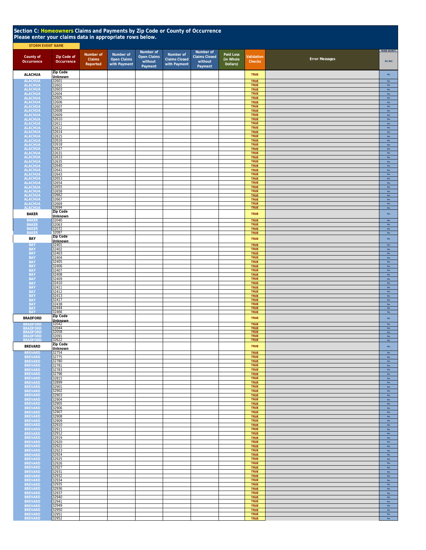| Section C: Homeowners Claims and Payments by Zip Code or County of Occurrence<br>Please enter your claims data in appropriate rows below.<br><b>STORM EVENT NAME</b> |                                  |                                 |                                                 |                                                       |                                                   |                                                         |                                    |                            |                       |                                |  |  |
|----------------------------------------------------------------------------------------------------------------------------------------------------------------------|----------------------------------|---------------------------------|-------------------------------------------------|-------------------------------------------------------|---------------------------------------------------|---------------------------------------------------------|------------------------------------|----------------------------|-----------------------|--------------------------------|--|--|
| County of<br>Occurrence                                                                                                                                              | <b>Zip Code of</b><br>Occurrence | Number of<br>Claims<br>Reported | Number of<br><b>Open Claims</b><br>with Payment | Number of<br><b>Open Claims</b><br>without<br>Payment | Number of<br><b>Claims Closed</b><br>with Payment | Number of<br><b>Claims Closed</b><br>without<br>Payment | Paid Loss<br>(in Whole<br>Dollars) | Validation<br>Checks       | <b>Error Messages</b> | TRADE SECRET?<br>As Set        |  |  |
| <b>ALACHUA</b>                                                                                                                                                       | <b>Zip Code</b><br>Unknown       |                                 |                                                 |                                                       |                                                   |                                                         |                                    | <b>TRUE</b>                |                       | No                             |  |  |
| <b>ALACHUA</b><br><b>ALACHUA</b>                                                                                                                                     | 32601<br>32602                   |                                 |                                                 |                                                       |                                                   |                                                         |                                    | <b>TRUE</b><br><b>TRUE</b> |                       | <b>No</b><br>$_{\rm No}$       |  |  |
| <b>ALACHUA</b>                                                                                                                                                       | 32603<br>32604                   |                                 |                                                 |                                                       |                                                   |                                                         |                                    | TRUE<br>TRUE               |                       | No                             |  |  |
| ALACHUA<br>ALACHUA<br>ALACHUA                                                                                                                                        | 32605                            |                                 |                                                 |                                                       |                                                   |                                                         |                                    | TRUE                       |                       | $_{\rm No}$<br>No              |  |  |
|                                                                                                                                                                      | 32606<br>32607                   |                                 |                                                 |                                                       |                                                   |                                                         |                                    | TRUE<br><b>TRUE</b>        |                       | No<br>No                       |  |  |
| ALACHUA<br>ALACHUA<br>ALACHUA                                                                                                                                        | 32608<br>32609                   |                                 |                                                 |                                                       |                                                   |                                                         |                                    | <b>TRUE</b><br><b>TRUE</b> |                       | $\mathsf{No}$<br>$\mathsf{No}$ |  |  |
| <b>ALACHUA</b><br><b>ALACHUA</b>                                                                                                                                     | 32610<br>32611                   |                                 |                                                 |                                                       |                                                   |                                                         |                                    | <b>TRUE</b><br><b>TRUE</b> |                       | No<br>No                       |  |  |
| <b>ALACHUA</b><br><b>ALACHUA</b>                                                                                                                                     | 32612<br>32614                   |                                 |                                                 |                                                       |                                                   |                                                         |                                    | <b>TRUE</b><br><b>TRUE</b> |                       | No<br><b>No</b>                |  |  |
| <b>ALACHUA</b><br><b>ALACHUA</b>                                                                                                                                     | 32615<br>32616                   |                                 |                                                 |                                                       |                                                   |                                                         |                                    | <b>TRUE</b><br>TRUE        |                       | No<br>$_{\sf No}$              |  |  |
| <b>ALACHUA</b><br><b>ALACHUA</b>                                                                                                                                     | 32618<br>32627                   |                                 |                                                 |                                                       |                                                   |                                                         |                                    | TRUE<br>TRUE               |                       | $_{\sf No}$<br>$_{\sf No}$     |  |  |
| <b>ALACHUA</b>                                                                                                                                                       | 32631                            |                                 |                                                 |                                                       |                                                   |                                                         |                                    | <b>TRUE</b>                |                       | No                             |  |  |
| <b>ALACHUA</b><br><b>ALACHUA</b>                                                                                                                                     | 32633<br>32635                   |                                 |                                                 |                                                       |                                                   |                                                         |                                    | <b>TRUE</b><br><b>TRUE</b> |                       | $\mathsf{No}$<br>$\mathsf{No}$ |  |  |
| <b>ALACHUA</b><br><b>ALACHUA</b>                                                                                                                                     | 32640<br>32641                   |                                 |                                                 |                                                       |                                                   |                                                         |                                    | <b>TRUE</b><br><b>TRUE</b> |                       | $\mathsf{No}$<br>$\mathsf{No}$ |  |  |
| <b>ALACHUA</b><br><b>ALACHUA</b>                                                                                                                                     | 32643<br>32653                   |                                 |                                                 |                                                       |                                                   |                                                         |                                    | <b>TRUE</b><br>TRUE        |                       | $\mathsf{No}$<br>No            |  |  |
| <b>ALACHUA</b><br><b>ALACHUA</b>                                                                                                                                     | 32654<br>32655                   |                                 |                                                 |                                                       |                                                   |                                                         |                                    | <b>TRUE</b><br><b>TRUE</b> |                       | No<br>No                       |  |  |
| <b>ALACHUA</b><br><b>ALACHUA</b>                                                                                                                                     | 32658<br>32662                   |                                 |                                                 |                                                       |                                                   |                                                         |                                    | <b>TRUE</b><br>TRUE        |                       | <b>No</b><br>No                |  |  |
| <b>ALACHUA</b><br><b>ALACHUA</b>                                                                                                                                     | 32667<br>32669                   |                                 |                                                 |                                                       |                                                   |                                                         |                                    | TRUE<br><b>TRUE</b>        |                       | No<br>No                       |  |  |
| <b>ALACHUA</b>                                                                                                                                                       | 32694                            |                                 |                                                 |                                                       |                                                   |                                                         |                                    | <b>TRUE</b>                |                       | No                             |  |  |
| <b>BAKER</b>                                                                                                                                                         | Zip Code<br>Unknown              |                                 |                                                 |                                                       |                                                   |                                                         |                                    | <b>TRUE</b>                |                       | $_{\sf No}$                    |  |  |
| <b>BAKER</b><br><b>BAKER</b>                                                                                                                                         | 32040<br>32063                   |                                 |                                                 |                                                       |                                                   |                                                         |                                    | <b>TRUE</b><br><b>TRUE</b> |                       | No<br>No                       |  |  |
| <b>BAKER</b><br><b>BAKER</b>                                                                                                                                         | 32072<br>32087                   |                                 |                                                 |                                                       |                                                   |                                                         |                                    | <b>TRUE</b><br><b>TRUE</b> |                       | <b>No</b><br>No                |  |  |
| BAY                                                                                                                                                                  | Zip Code<br>Unknown              |                                 |                                                 |                                                       |                                                   |                                                         |                                    | <b>TRUE</b>                |                       | $_{\rm No}$                    |  |  |
| <b>BAY</b><br><b>BAY</b>                                                                                                                                             | 32401<br>32402                   |                                 |                                                 |                                                       |                                                   |                                                         |                                    | <b>TRUE</b><br><b>TRUE</b> |                       | $\mathsf{No}$<br>$\mathsf{No}$ |  |  |
| <b>BAY</b><br><b>BAY</b>                                                                                                                                             | 32403<br>32404                   |                                 |                                                 |                                                       |                                                   |                                                         |                                    | <b>TRUE</b><br><b>TRUE</b> |                       | $\mathsf{No}$<br>$\mathsf{No}$ |  |  |
| <b>BAY</b>                                                                                                                                                           | 32405                            |                                 |                                                 |                                                       |                                                   |                                                         |                                    | TRUE                       |                       | No                             |  |  |
| <b>BAY</b><br><b>BAY</b>                                                                                                                                             | 32406<br>32407                   |                                 |                                                 |                                                       |                                                   |                                                         |                                    | <b>TRUE</b><br><b>TRUE</b> |                       | No<br>No                       |  |  |
| <b>BAY</b><br><b>BAY</b>                                                                                                                                             | 32408<br>32409                   |                                 |                                                 |                                                       |                                                   |                                                         |                                    | <b>TRUE</b><br><b>TRUE</b> |                       | <b>No</b><br>No                |  |  |
| <b>BAY</b><br><b>BAY</b>                                                                                                                                             | 32410<br>32411                   |                                 |                                                 |                                                       |                                                   |                                                         |                                    | <b>TRUE</b><br><b>TRUE</b> |                       | No<br>No                       |  |  |
| <b>BAY</b><br><b>BAY</b>                                                                                                                                             | 32412<br>32413                   |                                 |                                                 |                                                       |                                                   |                                                         |                                    | TRUE<br><b>TRUE</b>        |                       | No<br>No                       |  |  |
| BAY<br>BAY<br>BAY<br>BAY                                                                                                                                             | 32417<br>32438                   |                                 |                                                 |                                                       |                                                   |                                                         |                                    | <b>TRUE</b><br><b>TRUE</b> |                       | No<br>No                       |  |  |
| <b>BAY</b>                                                                                                                                                           | 32444<br>32466                   |                                 |                                                 |                                                       |                                                   |                                                         |                                    | <b>TRUE</b><br><b>TRUE</b> |                       | <b>No</b><br>No                |  |  |
| <b>BRADFORD</b>                                                                                                                                                      | Zip Code                         |                                 |                                                 |                                                       |                                                   |                                                         |                                    | <b>TRUE</b>                |                       | No                             |  |  |
| <b>BRADFORD</b>                                                                                                                                                      | <b>Unknown</b><br>32042          |                                 |                                                 |                                                       |                                                   |                                                         |                                    | <b>TRUE</b>                |                       | $\mathsf{No}$                  |  |  |
| <b>BRADFORD</b><br><b>BRADFORD</b>                                                                                                                                   | 32044<br>32058                   |                                 |                                                 |                                                       |                                                   |                                                         |                                    | <b>TRUE</b><br><b>TRUE</b> |                       | $\mathsf{No}$<br><b>No</b>     |  |  |
| <b>BRADFORD</b><br><b>BRADFORD</b>                                                                                                                                   | 32091<br>32622                   |                                 |                                                 |                                                       |                                                   |                                                         |                                    | <b>TRUE</b><br>TRUE        |                       | No<br>No                       |  |  |
| <b>BREVARD</b>                                                                                                                                                       | Zip Code<br><b>Unknown</b>       |                                 |                                                 |                                                       |                                                   |                                                         |                                    | <b>TRUE</b>                |                       | No                             |  |  |
| <b>BREVARD</b><br><b>BREVARD</b>                                                                                                                                     | 32754<br>32775                   |                                 |                                                 |                                                       |                                                   |                                                         |                                    | <b>TRUE</b><br><b>TRUE</b> |                       | No<br>No                       |  |  |
| <b>BREVARD</b><br><b>BREVARD</b>                                                                                                                                     | 32780<br>32781                   |                                 |                                                 |                                                       |                                                   |                                                         |                                    | <b>TRUE</b><br><b>TRUE</b> |                       | No<br>No                       |  |  |
| <b>BREVARD</b>                                                                                                                                                       | 32783<br>32796                   |                                 |                                                 |                                                       |                                                   |                                                         |                                    | <b>TRUE</b><br><b>TRUE</b> |                       | $\mathsf{No}$                  |  |  |
| <b>BREVARD</b><br><b>BREVARD</b>                                                                                                                                     | 32815                            |                                 |                                                 |                                                       |                                                   |                                                         |                                    | <b>TRUE</b>                |                       | $\mathsf{No}$<br>$\mathsf{No}$ |  |  |
| <b>BREVARD</b><br><b>BREVARD</b>                                                                                                                                     | 32899<br>32901                   |                                 |                                                 |                                                       |                                                   |                                                         |                                    | <b>TRUE</b><br><b>TRUE</b> |                       | $\mathsf{No}$<br>$\mathsf{No}$ |  |  |
| <b>BREVARD</b><br><b>BREVARD</b>                                                                                                                                     | 32902<br>32903                   |                                 |                                                 |                                                       |                                                   |                                                         |                                    | <b>TRUE</b><br><b>TRUE</b> |                       | No<br>No                       |  |  |
| <b>BREVARD</b><br><b>BREVARD</b>                                                                                                                                     | 32904<br>32905                   |                                 |                                                 |                                                       |                                                   |                                                         |                                    | <b>TRUE</b><br><b>TRUE</b> |                       | No<br><b>No</b>                |  |  |
| <b>BREVARD</b><br><b>BREVARD</b>                                                                                                                                     | 32906<br>32907                   |                                 |                                                 |                                                       |                                                   |                                                         |                                    | <b>TRUE</b><br><b>TRUE</b> |                       | No<br>No                       |  |  |
| <b>BREVARD</b>                                                                                                                                                       | 32908                            |                                 |                                                 |                                                       |                                                   |                                                         |                                    | <b>TRUE</b>                |                       | $_{\rm No}$                    |  |  |
| <b>BREVARD</b><br><b>BREVARD</b>                                                                                                                                     | 32909<br>32910                   |                                 |                                                 |                                                       |                                                   |                                                         |                                    | <b>TRUE</b><br><b>TRUE</b> |                       | No<br>$\mathsf{No}$            |  |  |
| <b>BREVARD</b><br><b>BREVARD</b>                                                                                                                                     | 32911<br>32912                   |                                 |                                                 |                                                       |                                                   |                                                         |                                    | <b>TRUE</b><br><b>TRUE</b> |                       | $_{\rm No}$<br>$\mathsf{No}$   |  |  |
| <b>BREVARD</b><br><b>BREVARD</b>                                                                                                                                     | 32919<br>32920                   |                                 |                                                 |                                                       |                                                   |                                                         |                                    | <b>TRUE</b><br><b>TRUE</b> |                       | $\mathsf{No}$<br>$\mathsf{No}$ |  |  |
| <b>BREVARD</b><br><b>BREVARD</b>                                                                                                                                     | 32922<br>32923                   |                                 |                                                 |                                                       |                                                   |                                                         |                                    | <b>TRUE</b><br><b>TRUE</b> |                       | <b>No</b><br>No                |  |  |
| <b>BREVARD</b>                                                                                                                                                       | 32924<br>32925                   |                                 |                                                 |                                                       |                                                   |                                                         |                                    | <b>TRUE</b>                |                       | <b>No</b>                      |  |  |
| <b>BREVARD</b><br><b>BREVARD</b>                                                                                                                                     | 32926                            |                                 |                                                 |                                                       |                                                   |                                                         |                                    | <b>TRUE</b><br><b>TRUE</b> |                       | No<br>No                       |  |  |
| <b>BREVARD</b><br><b>BREVARD</b>                                                                                                                                     | 32927<br>32931                   |                                 |                                                 |                                                       |                                                   |                                                         |                                    | <b>TRUE</b><br><b>TRUE</b> |                       | $\mathsf{No}$<br>$\mathsf{No}$ |  |  |
| <b>BREVARD</b><br><b>BREVARD</b>                                                                                                                                     | 32932<br>32934                   |                                 |                                                 |                                                       |                                                   |                                                         |                                    | <b>TRUE</b><br><b>TRUE</b> |                       | No<br>$\mathsf{No}$            |  |  |
| <b>BREVARD</b><br><b>BREVARD</b>                                                                                                                                     | 32935<br>32936                   |                                 |                                                 |                                                       |                                                   |                                                         |                                    | <b>TRUE</b><br><b>TRUE</b> |                       | $\mathsf{No}$<br>$\mathsf{No}$ |  |  |
| <b>BREVARD</b><br><b>BREVARD</b>                                                                                                                                     | 32937<br>32940                   |                                 |                                                 |                                                       |                                                   |                                                         |                                    | <b>TRUE</b><br><b>TRUE</b> |                       | No<br>No                       |  |  |
| <b>BREVARD</b>                                                                                                                                                       | 32941<br>32949                   |                                 |                                                 |                                                       |                                                   |                                                         |                                    | <b>TRUE</b><br><b>TRUE</b> |                       | No<br>No                       |  |  |
| <b>BREVARD</b><br><b>BREVARD</b>                                                                                                                                     | 32950                            |                                 |                                                 |                                                       |                                                   |                                                         |                                    | <b>TRUE</b>                |                       | <b>No</b>                      |  |  |
| <b>BREVARD</b><br><b>BREVARD</b>                                                                                                                                     | 32951<br>32952                   |                                 |                                                 |                                                       |                                                   |                                                         |                                    | <b>TRUE</b><br><b>TRUE</b> |                       | $_{\rm No}$<br>No              |  |  |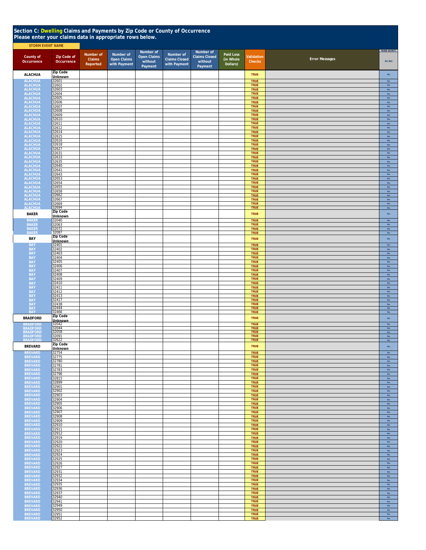## **Section C: Dwelling Claims and Payments by Zip Code or County of Occurrence Please enter your claims data in appropriate rows below.**

| <b>STORM EVENT NAME</b>                |                                  |                                 |                                                 |                                                       |                                                   |                                                         |                                    |                             |                       |                                |
|----------------------------------------|----------------------------------|---------------------------------|-------------------------------------------------|-------------------------------------------------------|---------------------------------------------------|---------------------------------------------------------|------------------------------------|-----------------------------|-----------------------|--------------------------------|
| County of<br>Occurrence                | <b>Zip Code of</b><br>Occurrence | Number of<br>Claims<br>Reported | Number of<br><b>Open Claims</b><br>with Payment | Number of<br><b>Open Claims</b><br>without<br>Payment | Number of<br><b>Claims Closed</b><br>with Payment | Number of<br><b>Claims Closed</b><br>without<br>Payment | Paid Loss<br>(in Whole<br>Dollars) | Validation<br><b>Checks</b> | <b>Error Messages</b> | TRADE SECRET?<br>As Set        |
| <b>ALACHUA</b>                         | Zip Code<br>Unknown              |                                 |                                                 |                                                       |                                                   |                                                         |                                    | <b>TRUE</b>                 |                       | $\mathsf{No}$                  |
|                                        | 32601                            |                                 |                                                 |                                                       |                                                   |                                                         |                                    | TRUE                        |                       | No                             |
| ALACHUA<br>ALACHUA<br>ALACHUA          | 32602<br>32603                   |                                 |                                                 |                                                       |                                                   |                                                         |                                    | <b>TRUE</b><br><b>TRUE</b>  |                       | $_{\rm No}$<br>$_{\rm No}$     |
| <b>ALACHUA</b>                         | 32604                            |                                 |                                                 |                                                       |                                                   |                                                         |                                    | <b>TRUE</b><br><b>TRUE</b>  |                       | ${\sf No}$                     |
| <b>ALACHUA</b><br><b>ALACHUA</b>       | 32605<br>32606                   |                                 |                                                 |                                                       |                                                   |                                                         |                                    | <b>TRUE</b>                 |                       | ${\sf No}$<br>${\sf No}$       |
| <b>ALACHUA</b><br><b>ALACHUA</b>       | 32607<br>32608                   |                                 |                                                 |                                                       |                                                   |                                                         |                                    | <b>TRUE</b><br><b>TRUE</b>  |                       | $\mathsf{No}$<br>$\mathsf{No}$ |
| <b>ALACHUA</b>                         | 32609                            |                                 |                                                 |                                                       |                                                   |                                                         |                                    | TRUE                        |                       | $_{\sf No}$                    |
| <b>ALACHUA</b><br><b>ALACHUA</b>       | 32610<br>32611                   |                                 |                                                 |                                                       |                                                   |                                                         |                                    | <b>TRUE</b><br>TRUE         |                       | No<br>${\sf No}$               |
| <b>ALACHUA</b><br><b>ALACHUA</b>       | 32612<br>32614                   |                                 |                                                 |                                                       |                                                   |                                                         |                                    | TRUE<br><b>TRUE</b>         |                       | $\mathsf{No}$<br>$\mathsf{No}$ |
| <b>ALACHUA</b>                         | 32615                            |                                 |                                                 |                                                       |                                                   |                                                         |                                    | <b>TRUE</b>                 |                       | $\mathsf{No}$                  |
| <b>ALACHUA</b><br><b>ALACHUA</b>       | 32616<br>32618                   |                                 |                                                 |                                                       |                                                   |                                                         |                                    | <b>TRUE</b><br><b>TRUE</b>  |                       | $\mathsf{No}$<br>$\mathsf{No}$ |
| <b>ALACHUA</b><br><b>ALACHUA</b>       | 32627<br>32631                   |                                 |                                                 |                                                       |                                                   |                                                         |                                    | <b>TRUE</b><br><b>TRUE</b>  |                       | $\mathsf{No}$<br>No            |
| <b>ALACHUA</b>                         | 32633                            |                                 |                                                 |                                                       |                                                   |                                                         |                                    | <b>TRUE</b>                 |                       | No                             |
| <b>ALACHUA</b><br><b>ALACHUA</b>       | 32635<br>32640                   |                                 |                                                 |                                                       |                                                   |                                                         |                                    | <b>TRUE</b><br><b>TRUE</b>  |                       | No<br><b>No</b>                |
| <b>ALACHUA</b><br><b>ALACHUA</b>       | 32641<br>32643                   |                                 |                                                 |                                                       |                                                   |                                                         |                                    | <b>TRUE</b><br>TRUE         |                       | No<br>No                       |
| <b>ALACHUA</b>                         | 32653                            |                                 |                                                 |                                                       |                                                   |                                                         |                                    | <b>TRUE</b>                 |                       | No                             |
| <b>ALACHUA</b><br><b>ALACHUA</b>       | 32654<br>32655                   |                                 |                                                 |                                                       |                                                   |                                                         |                                    | TRUE<br>TRUE                |                       | No<br>No                       |
| <b>ALACHUA</b><br><b>ALACHUA</b>       | 32658<br>32662                   |                                 |                                                 |                                                       |                                                   |                                                         |                                    | <b>TRUE</b><br><b>TRUE</b>  |                       | No<br>No                       |
| <b>ALACHUA</b>                         | 32667                            |                                 |                                                 |                                                       |                                                   |                                                         |                                    | TRUE                        |                       | No                             |
| <b>ALACHUA</b><br><b>ALACHUA</b>       | 32669<br>32694                   |                                 |                                                 |                                                       |                                                   |                                                         |                                    | TRUE<br>TRUE                |                       | No<br>No                       |
| <b>BAKER</b>                           | <b>Zip Code</b><br>Unknown       |                                 |                                                 |                                                       |                                                   |                                                         |                                    | <b>TRUE</b>                 |                       | <b>No</b>                      |
| <b>BAKER</b>                           | 32040<br>32063                   |                                 |                                                 |                                                       |                                                   |                                                         |                                    | TRUE<br>TRUE                |                       | $_{\rm No}$<br>$_{\rm No}$     |
| BAKER<br>BAKER<br>BAKER                | 32072                            |                                 |                                                 |                                                       |                                                   |                                                         |                                    | TRUE                        |                       | $_{\rm No}$                    |
| BAY                                    | 32087<br><b>Zip Code</b>         |                                 |                                                 |                                                       |                                                   |                                                         |                                    | <b>TRUE</b><br><b>TRUE</b>  |                       | No<br><b>No</b>                |
| <b>BAY</b>                             | <b>Unknown</b><br>32401          |                                 |                                                 |                                                       |                                                   |                                                         |                                    | <b>TRUE</b>                 |                       | No                             |
| <b>BAY</b>                             | 32402                            |                                 |                                                 |                                                       |                                                   |                                                         |                                    | <b>TRUE</b>                 |                       | <b>No</b>                      |
| <b>BAY</b><br><b>BAY</b>               | 32403<br>32404                   |                                 |                                                 |                                                       |                                                   |                                                         |                                    | <b>TRUE</b><br><b>TRUE</b>  |                       | $\mathsf{No}$<br>No            |
| <b>BAY</b><br><b>BAY</b>               | 32405<br>32406                   |                                 |                                                 |                                                       |                                                   |                                                         |                                    | TRUE<br>TRUE                |                       | No<br>No                       |
| <b>BAY</b>                             | 32407                            |                                 |                                                 |                                                       |                                                   |                                                         |                                    | TRUE                        |                       | No                             |
| <b>BAY</b><br><b>BAY</b>               | 32408<br>32409                   |                                 |                                                 |                                                       |                                                   |                                                         |                                    | <b>TRUE</b><br><b>TRUE</b>  |                       | No<br>$_{\rm No}$              |
| <b>BAY</b><br><b>BAY</b>               | 32410<br>32411                   |                                 |                                                 |                                                       |                                                   |                                                         |                                    | <b>TRUE</b><br><b>TRUE</b>  |                       | $_{\rm No}$<br>$\mathsf{No}$   |
| <b>BAY</b>                             | 32412<br>32413                   |                                 |                                                 |                                                       |                                                   |                                                         |                                    | <b>TRUE</b><br><b>TRUE</b>  |                       | <b>No</b><br>No                |
| <b>BAY</b><br><b>BAY</b>               | 32417                            |                                 |                                                 |                                                       |                                                   |                                                         |                                    | <b>TRUE</b>                 |                       | ${\sf No}$                     |
| <b>BAY</b><br><b>BAY</b><br><b>BAY</b> | 32438<br>32444                   |                                 |                                                 |                                                       |                                                   |                                                         |                                    | <b>TRUE</b><br><b>TRUE</b>  |                       | ${\sf No}$<br>No               |
|                                        | 32466<br>Zip Code                |                                 |                                                 |                                                       |                                                   |                                                         |                                    | TRUE                        |                       | No                             |
| <b>BRADFORD</b><br><b>BRADFORD</b>     | Unknown<br>32042                 |                                 |                                                 |                                                       |                                                   |                                                         |                                    | TRUE<br><b>TRUE</b>         |                       | $_{\rm No}$<br>$\mathsf{No}$   |
| <b>BRADFORD</b><br><b>BRADFORD</b>     | 32044                            |                                 |                                                 |                                                       |                                                   |                                                         |                                    | <b>TRUE</b><br><b>TRUE</b>  |                       | <b>No</b><br>${\sf No}$        |
| <b>BRADFORD</b>                        | 32091                            |                                 |                                                 |                                                       |                                                   |                                                         |                                    | <b>TRUE</b>                 |                       | $\mathsf{No}$                  |
| <b>BRADFORD</b><br><b>BREVARD</b>      | 32622<br><b>Zip Code</b>         |                                 |                                                 |                                                       |                                                   |                                                         |                                    | <b>TRUE</b>                 |                       | No<br>$\mathsf{No}$            |
| <b>BREVAR</b>                          | Unknown<br>32754                 |                                 |                                                 |                                                       |                                                   |                                                         |                                    | <b>TRUE</b><br><b>TRUE</b>  |                       | No                             |
| <b>BREVARD</b>                         | 32775                            |                                 |                                                 |                                                       |                                                   |                                                         |                                    | <b>TRUE</b>                 |                       | $\mathsf{No}$                  |
| <b>BREVARD</b><br><b>BREVARD</b>       | 32780<br>32781                   |                                 |                                                 |                                                       |                                                   |                                                         |                                    | <b>TRUE</b><br><b>TRUE</b>  |                       | $\mathsf{No}$<br><b>No</b>     |
| <b>BREVARD</b><br><b>BREVARD</b>       | 32783<br>32796                   |                                 |                                                 |                                                       |                                                   |                                                         |                                    | <b>TRUE</b><br><b>TRUE</b>  |                       | <b>No</b><br>No                |
| <b>BREVARD</b>                         | 32815                            |                                 |                                                 |                                                       |                                                   |                                                         |                                    | <b>TRUE</b>                 |                       | <b>No</b>                      |
| <b>BREVARD</b><br><b>BREVARD</b>       | 32899<br>32901                   |                                 |                                                 |                                                       |                                                   |                                                         |                                    | <b>TRUE</b><br><b>TRUE</b>  |                       | $_{\rm No}$<br>No              |
| <b>BREVARD</b><br><b>BREVARD</b>       | 32902<br>32903                   |                                 |                                                 |                                                       |                                                   |                                                         |                                    | <b>TRUE</b><br><b>TRUE</b>  |                       | No<br>$_{\sf No}$              |
| <b>BREVARD</b>                         | 32904                            |                                 |                                                 |                                                       |                                                   |                                                         |                                    | <b>TRUE</b>                 |                       | $_{\rm No}$                    |
| <b>BREVARD</b><br><b>BREVARD</b>       | 32905<br>32906                   |                                 |                                                 |                                                       |                                                   |                                                         |                                    | <b>TRUE</b><br><b>TRUE</b>  |                       | $_{\rm No}$<br>${\sf No}$      |
| <b>BREVARD</b><br><b>BREVARD</b>       | 32907<br>32908                   |                                 |                                                 |                                                       |                                                   |                                                         |                                    | <b>TRUE</b><br><b>TRUE</b>  |                       | $\mathsf{No}$<br>$\mathsf{No}$ |
| <b>BREVARD</b>                         | 32909<br>32910                   |                                 |                                                 |                                                       |                                                   |                                                         |                                    | <b>TRUE</b><br><b>TRUE</b>  |                       | No<br>No                       |
| <b>BREVARD</b><br><b>BREVARD</b>       | 32911                            |                                 |                                                 |                                                       |                                                   |                                                         |                                    | <b>TRUE</b>                 |                       | <b>No</b>                      |
| <b>BREVARD</b><br><b>BREVARD</b>       | 32912<br>32919                   |                                 |                                                 |                                                       |                                                   |                                                         |                                    | <b>TRUE</b><br><b>TRUE</b>  |                       | $\mathsf{No}$<br>${\sf No}$    |
| <b>BREVARD</b>                         | 32920<br>32922                   |                                 |                                                 |                                                       |                                                   |                                                         |                                    | <b>TRUE</b><br><b>TRUE</b>  |                       | No                             |
| <b>BREVARD</b><br><b>BREVARD</b>       | 32923                            |                                 |                                                 |                                                       |                                                   |                                                         |                                    | <b>TRUE</b>                 |                       | $\mathsf{No}$<br>$\mathsf{No}$ |
| <b>BREVARD</b><br><b>BREVARD</b>       | 32924<br>32925                   |                                 |                                                 |                                                       |                                                   |                                                         |                                    | <b>TRUE</b><br><b>TRUE</b>  |                       | $\mathsf{No}$<br>$\mathsf{No}$ |
| <b>BREVARD</b><br><b>BREVARD</b>       | 32926<br>32927                   |                                 |                                                 |                                                       |                                                   |                                                         |                                    | <b>TRUE</b><br><b>TRUE</b>  |                       | $\mathsf{No}$<br><b>No</b>     |
| <b>BREVARD</b>                         | 32931                            |                                 |                                                 |                                                       |                                                   |                                                         |                                    | <b>TRUE</b>                 |                       | No                             |
| <b>BREVARD</b><br><b>BREVARD</b>       | 32932<br>32934                   |                                 |                                                 |                                                       |                                                   |                                                         |                                    | <b>TRUE</b><br><b>TRUE</b>  |                       | No<br><b>No</b>                |
| <b>BREVARD</b><br><b>BREVARD</b>       | 32935<br>32936                   |                                 |                                                 |                                                       |                                                   |                                                         |                                    | TRUE<br>TRUE                |                       | $\mathsf{No}$<br>$\mathsf{No}$ |
| <b>BREVARD</b>                         | 32937                            |                                 |                                                 |                                                       |                                                   |                                                         |                                    | TRUE                        |                       | No                             |
| <b>BREVARD</b><br><b>BREVARD</b>       | 32940<br>32941                   |                                 |                                                 |                                                       |                                                   |                                                         |                                    | TRUE<br>TRUE                |                       | No<br>$_{\rm No}$              |
| <b>BREVARD</b><br><b>BREVARD</b>       | 32949<br>32950                   |                                 |                                                 |                                                       |                                                   |                                                         |                                    | TRUE<br><b>TRUE</b>         |                       | $_{\rm No}$<br>$_{\rm No}$     |
| BREVARD<br>BREVARD                     | 32951<br>32952                   |                                 |                                                 |                                                       |                                                   |                                                         |                                    | <b>TRUE</b><br><b>TRUE</b>  |                       | ${\sf No}$<br>No               |
|                                        |                                  |                                 |                                                 |                                                       |                                                   |                                                         |                                    |                             |                       |                                |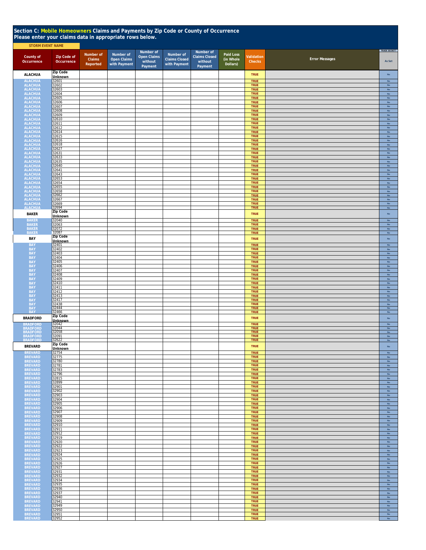| Section C: Mobile Homeowners Claims and Payments by Zip Code or County of Occurrence<br>Please enter your claims data in appropriate rows below. |                            |                                 |                                                 |                                                       |                                                   |                                                         |                                    |                            |                       |                                |  |  |
|--------------------------------------------------------------------------------------------------------------------------------------------------|----------------------------|---------------------------------|-------------------------------------------------|-------------------------------------------------------|---------------------------------------------------|---------------------------------------------------------|------------------------------------|----------------------------|-----------------------|--------------------------------|--|--|
| <b>STORM EVENT NAME</b>                                                                                                                          |                            |                                 |                                                 |                                                       |                                                   |                                                         |                                    |                            |                       |                                |  |  |
| County of<br>Occurrence                                                                                                                          | Zip Code of<br>Occurrence  | Number of<br>Claims<br>Reported | Number of<br><b>Open Claims</b><br>with Payment | Number of<br><b>Open Claims</b><br>without<br>Payment | Number of<br><b>Claims Closed</b><br>with Payment | Number of<br><b>Claims Closed</b><br>without<br>Payment | Paid Loss<br>(in Whole<br>Dollars) | Validation<br>Checks       | <b>Error Messages</b> | TRADE SECRET?<br>As Set        |  |  |
| <b>ALACHUA</b>                                                                                                                                   | Zip Code                   |                                 |                                                 |                                                       |                                                   |                                                         |                                    | <b>TRUE</b>                |                       | $\mathsf{No}$                  |  |  |
| <b>ALACHUA</b>                                                                                                                                   | <b>Unknown</b><br>32601    |                                 |                                                 |                                                       |                                                   |                                                         |                                    | <b>TRUE</b>                |                       | $\mathsf{No}$                  |  |  |
| <b>ALACHUA</b><br>ALACHUA                                                                                                                        | 32602<br>32603             |                                 |                                                 |                                                       |                                                   |                                                         |                                    | <b>TRUE</b><br><b>TRUE</b> |                       | $_{\rm No}$<br>$\mathsf{No}$   |  |  |
| <b>ALACHUA</b>                                                                                                                                   | 32604                      |                                 |                                                 |                                                       |                                                   |                                                         |                                    | <b>TRUE</b>                |                       | No                             |  |  |
| <b>ALACHUA</b><br><b>ALACHUA</b>                                                                                                                 | 32605<br>32606             |                                 |                                                 |                                                       |                                                   |                                                         |                                    | <b>TRUE</b><br><b>TRUE</b> |                       | $_{\rm No}$<br>$_{\rm No}$     |  |  |
| <b>ALACHUA</b><br><b>ALACHUA</b>                                                                                                                 | 32607<br>32608             |                                 |                                                 |                                                       |                                                   |                                                         |                                    | <b>TRUE</b><br><b>TRUE</b> |                       | No<br>$_{\rm No}$              |  |  |
| <b>ALACHUA</b>                                                                                                                                   | 32609                      |                                 |                                                 |                                                       |                                                   |                                                         |                                    | <b>TRUE</b>                |                       | $\mathsf{No}$                  |  |  |
| <b>ALACHUA</b><br><b>ALACHUA</b>                                                                                                                 | 32610<br>32611             |                                 |                                                 |                                                       |                                                   |                                                         |                                    | <b>TRUE</b><br><b>TRUE</b> |                       | $\mathsf{No}$<br>$\mathsf{No}$ |  |  |
| <b>ALACHUA</b>                                                                                                                                   | 32612                      |                                 |                                                 |                                                       |                                                   |                                                         |                                    | <b>TRUE</b>                |                       | $\mathsf{No}$                  |  |  |
| <b>ALACHUA</b><br><b>ALACHUA</b>                                                                                                                 | 32614<br>32615             |                                 |                                                 |                                                       |                                                   |                                                         |                                    | <b>TRUE</b><br><b>TRUE</b> |                       | No<br>No                       |  |  |
| <b>ALACHUA</b><br><b>ALACHUA</b>                                                                                                                 | 32616<br>32618             |                                 |                                                 |                                                       |                                                   |                                                         |                                    | <b>TRUE</b><br><b>TRUE</b> |                       | $\mathsf{No}$<br>$\mathsf{No}$ |  |  |
| <b>ALACHUA</b>                                                                                                                                   | 32627                      |                                 |                                                 |                                                       |                                                   |                                                         |                                    | <b>TRUE</b>                |                       | $\mathsf{No}$                  |  |  |
| <b>ALACHUA</b><br><b>ALACHUA</b>                                                                                                                 | 32631<br>32633             |                                 |                                                 |                                                       |                                                   |                                                         |                                    | <b>TRUE</b><br><b>TRUE</b> |                       | <b>No</b><br>No                |  |  |
| <b>ALACHUA</b>                                                                                                                                   | 32635<br>32640             |                                 |                                                 |                                                       |                                                   |                                                         |                                    | <b>TRUE</b><br><b>TRUE</b> |                       | No<br>No                       |  |  |
| ALACHUA<br>ALACHUA<br>ALACHUA                                                                                                                    | 32641                      |                                 |                                                 |                                                       |                                                   |                                                         |                                    | TRUE                       |                       | No                             |  |  |
|                                                                                                                                                  | 32643<br>32653             |                                 |                                                 |                                                       |                                                   |                                                         |                                    | <b>TRUE</b><br><b>TRUE</b> |                       | No<br>No                       |  |  |
| ALACHUA<br>ALACHUA<br>ALACHUA<br>ALACHUA<br>ALACHUA<br>ALACHUA<br>ALACHUA<br>ALACHUA                                                             | 32654                      |                                 |                                                 |                                                       |                                                   |                                                         |                                    | <b>TRUE</b>                |                       | $_{\sf No}$                    |  |  |
|                                                                                                                                                  | 32655<br>32658             |                                 |                                                 |                                                       |                                                   |                                                         |                                    | <b>TRUE</b><br><b>TRUE</b> |                       | $_{\sf No}$<br>$_{\rm No}$     |  |  |
|                                                                                                                                                  | 32662<br>32667             |                                 |                                                 |                                                       |                                                   |                                                         |                                    | <b>TRUE</b><br><b>TRUE</b> |                       | No<br>No                       |  |  |
|                                                                                                                                                  | 32669                      |                                 |                                                 |                                                       |                                                   |                                                         |                                    | <b>TRUE</b>                |                       | $_{\sf No}$                    |  |  |
| <b>ALACHUA</b>                                                                                                                                   | 32694<br>Zip Code          |                                 |                                                 |                                                       |                                                   |                                                         |                                    | <b>TRUE</b>                |                       | No                             |  |  |
| <b>BAKER</b><br><b>BAKER</b>                                                                                                                     | Unknown                    |                                 |                                                 |                                                       |                                                   |                                                         |                                    | <b>TRUE</b>                |                       | $_{\rm No}$                    |  |  |
| <b>BAKER</b>                                                                                                                                     | 32040<br>32063             |                                 |                                                 |                                                       |                                                   |                                                         |                                    | <b>TRUE</b><br><b>TRUE</b> |                       | $_{\sf No}$<br>$_{\sf No}$     |  |  |
| <b>BAKER</b><br>BAKER                                                                                                                            | 32072<br>32087             |                                 |                                                 |                                                       |                                                   |                                                         |                                    | <b>TRUE</b><br><b>TRUE</b> |                       | $\mathsf{No}$<br>No            |  |  |
| BAY                                                                                                                                              | <b>Zip Code</b>            |                                 |                                                 |                                                       |                                                   |                                                         |                                    | <b>TRUE</b>                |                       | $_{\rm No}$                    |  |  |
| <b>BAY</b>                                                                                                                                       | <b>Unknown</b><br>32401    |                                 |                                                 |                                                       |                                                   |                                                         |                                    | <b>TRUE</b>                |                       | $\mathsf{No}$                  |  |  |
| <b>BAY</b><br><b>BAY</b>                                                                                                                         | 32402<br>32403             |                                 |                                                 |                                                       |                                                   |                                                         |                                    | TRUE<br>TRUE               |                       | No<br>$_{\sf No}$              |  |  |
| <b>BAY</b>                                                                                                                                       | 32404                      |                                 |                                                 |                                                       |                                                   |                                                         |                                    | <b>TRUE</b>                |                       | No                             |  |  |
| BAY<br><b>BAY</b>                                                                                                                                | 32405<br>32406             |                                 |                                                 |                                                       |                                                   |                                                         |                                    | <b>TRUE</b><br><b>TRUE</b> |                       | No<br>$_{\sf No}$              |  |  |
| <b>BAY</b>                                                                                                                                       | 32407                      |                                 |                                                 |                                                       |                                                   |                                                         |                                    | <b>TRUE</b>                |                       | $_{\sf No}$                    |  |  |
| <b>BAY</b><br><b>BAY</b>                                                                                                                         | 32408<br>32409             |                                 |                                                 |                                                       |                                                   |                                                         |                                    | <b>TRUE</b><br><b>TRUE</b> |                       | $_{\rm No}$<br>No              |  |  |
| <b>BAY</b><br><b>BAY</b>                                                                                                                         | 32410<br>32411             |                                 |                                                 |                                                       |                                                   |                                                         |                                    | <b>TRUE</b><br><b>TRUE</b> |                       | $\mathsf{No}$<br>No            |  |  |
| <b>BAY</b>                                                                                                                                       | 32412                      |                                 |                                                 |                                                       |                                                   |                                                         |                                    | <b>TRUE</b>                |                       | $\mathsf{No}$                  |  |  |
| <b>BAY</b><br><b>BAY</b>                                                                                                                         | 32413<br>32417             |                                 |                                                 |                                                       |                                                   |                                                         |                                    | <b>TRUE</b><br><b>TRUE</b> |                       | $_{\sf No}$<br>$_{\sf No}$     |  |  |
| BAY<br>BAY<br>BAY                                                                                                                                | 32438<br>32444             |                                 |                                                 |                                                       |                                                   |                                                         |                                    | <b>TRUE</b><br><b>TRUE</b> |                       | $_{\rm No}$<br>$\mathsf{No}$   |  |  |
|                                                                                                                                                  | 32466                      |                                 |                                                 |                                                       |                                                   |                                                         |                                    | <b>TRUE</b>                |                       | $_{\sf No}$                    |  |  |
| <b>BRADFORD</b>                                                                                                                                  | Zip Code<br><b>Unknown</b> |                                 |                                                 |                                                       |                                                   |                                                         |                                    | <b>TRUE</b>                |                       | $_{\sf No}$                    |  |  |
| <b>BRADFORD</b><br><b>BRADFORD</b>                                                                                                               | 32042<br>32044             |                                 |                                                 |                                                       |                                                   |                                                         |                                    | <b>TRUE</b><br><b>TRUE</b> |                       | $\mathsf{No}$<br>$_{\rm No}$   |  |  |
| <b>BRADFORD</b>                                                                                                                                  | 32058                      |                                 |                                                 |                                                       |                                                   |                                                         |                                    | <b>TRUE</b>                |                       | No                             |  |  |
| <b>BRADEORD</b><br><b>BRADFORD</b>                                                                                                               | 32091<br>32622             |                                 |                                                 |                                                       |                                                   |                                                         |                                    | <b>TRUE</b><br><b>TRUE</b> |                       | <b>No</b><br>$\mathsf{No}$     |  |  |
| <b>BREVARD</b>                                                                                                                                   | Zip Code<br>Unknown        |                                 |                                                 |                                                       |                                                   |                                                         |                                    | <b>TRUE</b>                |                       | ${\sf No}$                     |  |  |
| <b>BREVARD</b>                                                                                                                                   | 32754                      |                                 |                                                 |                                                       |                                                   |                                                         |                                    | <b>TRUE</b>                |                       | No                             |  |  |
| <b>BREVARD</b><br><b>BREVARD</b>                                                                                                                 | 32775<br>32780             |                                 |                                                 |                                                       |                                                   |                                                         |                                    | <b>TRUE</b><br><b>TRUE</b> |                       | $\mathsf{No}$<br>$\mathsf{No}$ |  |  |
| <b>BREVARD</b>                                                                                                                                   | 32781                      |                                 |                                                 |                                                       |                                                   |                                                         |                                    | <b>TRUE</b>                |                       | <b>No</b>                      |  |  |
| <b>BREVARD</b><br><b>BREVARD</b>                                                                                                                 | 32783<br>32796             |                                 |                                                 |                                                       |                                                   |                                                         |                                    | TRUE<br><b>TRUE</b>        |                       | $\mathsf{No}$<br>No            |  |  |
| <b>BREVARD</b><br><b>BREVARD</b>                                                                                                                 | 32815<br>32899             |                                 |                                                 |                                                       |                                                   |                                                         |                                    | TRUE<br><b>TRUE</b>        |                       | No<br>No                       |  |  |
| <b>BREVARD</b>                                                                                                                                   | 32901                      |                                 |                                                 |                                                       |                                                   |                                                         |                                    | <b>TRUE</b>                |                       | $_{\rm No}$                    |  |  |
| <b>BREVARD</b><br><b>BREVARD</b>                                                                                                                 | 32902<br>32903             |                                 |                                                 |                                                       |                                                   |                                                         |                                    | <b>TRUE</b><br><b>TRUE</b> |                       | $_{\rm No}$<br>${\sf No}$      |  |  |
| <b>BREVARD</b>                                                                                                                                   | 32904                      |                                 |                                                 |                                                       |                                                   |                                                         |                                    | <b>TRUE</b>                |                       | $_{\sf No}$                    |  |  |
| <b>BREVARD</b><br><b>BREVARD</b>                                                                                                                 | 32905<br>32906             |                                 |                                                 |                                                       |                                                   |                                                         |                                    | <b>TRUE</b><br><b>TRUE</b> |                       | $\mathsf{No}$<br><b>No</b>     |  |  |
| <b>BREVARD</b>                                                                                                                                   | 32907<br>32908             |                                 |                                                 |                                                       |                                                   |                                                         |                                    | <b>TRUE</b><br><b>TRUE</b> |                       | <b>No</b><br>No                |  |  |
| <b>BREVARD</b><br><b>BREVARD</b>                                                                                                                 | 32909                      |                                 |                                                 |                                                       |                                                   |                                                         |                                    | TRUE                       |                       | No                             |  |  |
| <b>BREVARD</b><br><b>BREVARD</b>                                                                                                                 | 32910<br>32911             |                                 |                                                 |                                                       |                                                   |                                                         |                                    | <b>TRUE</b><br><b>TRUE</b> |                       | $\mathsf{No}$<br>$\mathsf{No}$ |  |  |
| <b>BREVARD</b>                                                                                                                                   | 32912                      |                                 |                                                 |                                                       |                                                   |                                                         |                                    | <b>TRUE</b>                |                       | $\mathsf{No}$                  |  |  |
| <b>BREVARD</b><br><b>BREVARD</b>                                                                                                                 | 32919<br>32920             |                                 |                                                 |                                                       |                                                   |                                                         |                                    | <b>TRUE</b><br><b>TRUE</b> |                       | $\mathsf{No}$<br>$\mathsf{No}$ |  |  |
| <b>BREVARD</b><br><b>BREVARD</b>                                                                                                                 | 32922<br>32923             |                                 |                                                 |                                                       |                                                   |                                                         |                                    | <b>TRUE</b><br><b>TRUE</b> |                       | $\mathsf{No}$<br>$\mathsf{No}$ |  |  |
| <b>BREVARD</b>                                                                                                                                   | 32924                      |                                 |                                                 |                                                       |                                                   |                                                         |                                    | <b>TRUE</b>                |                       | No                             |  |  |
| <b>BREVARD</b><br><b>BREVARD</b>                                                                                                                 | 32925<br>32926             |                                 |                                                 |                                                       |                                                   |                                                         |                                    | <b>TRUE</b><br><b>TRUE</b> |                       | $\mathsf{No}$<br>$\mathsf{No}$ |  |  |
| <b>BREVARD</b>                                                                                                                                   | 32927                      |                                 |                                                 |                                                       |                                                   |                                                         |                                    | <b>TRUE</b>                |                       | <b>No</b>                      |  |  |
| <b>BREVARD</b><br><b>BREVARD</b>                                                                                                                 | 32931<br>32932             |                                 |                                                 |                                                       |                                                   |                                                         |                                    | <b>TRUE</b><br><b>TRUE</b> |                       | No<br>No                       |  |  |
| <b>BREVARD</b><br><b>BREVARD</b>                                                                                                                 | 32934<br>32935             |                                 |                                                 |                                                       |                                                   |                                                         |                                    | <b>TRUE</b><br>TRUE        |                       | No<br>$_{\sf No}$              |  |  |
| <b>BREVARD</b>                                                                                                                                   | 32936                      |                                 |                                                 |                                                       |                                                   |                                                         |                                    | <b>TRUE</b>                |                       | $\mathsf{No}$                  |  |  |
| <b>BREVARD</b><br><b>BREVARD</b>                                                                                                                 | 32937<br>32940             |                                 |                                                 |                                                       |                                                   |                                                         |                                    | <b>TRUE</b><br><b>TRUE</b> |                       | $_{\rm No}$<br>$\mathsf{No}$   |  |  |
| <b>BREVARD</b>                                                                                                                                   | 32941                      |                                 |                                                 |                                                       |                                                   |                                                         |                                    | <b>TRUE</b>                |                       | $_{\rm No}$                    |  |  |
| <b>BREVARD</b><br><b>BREVARD</b>                                                                                                                 | 32949<br>32950             |                                 |                                                 |                                                       |                                                   |                                                         |                                    | <b>TRUE</b><br><b>TRUE</b> |                       | $_{\rm No}$<br>No              |  |  |
| <b>BREVARD</b><br><b>BREVARD</b>                                                                                                                 | 32951<br>32952             |                                 |                                                 |                                                       |                                                   |                                                         |                                    | <b>TRUE</b><br><b>TRUE</b> |                       | <b>No</b><br>$\mathsf{No}$     |  |  |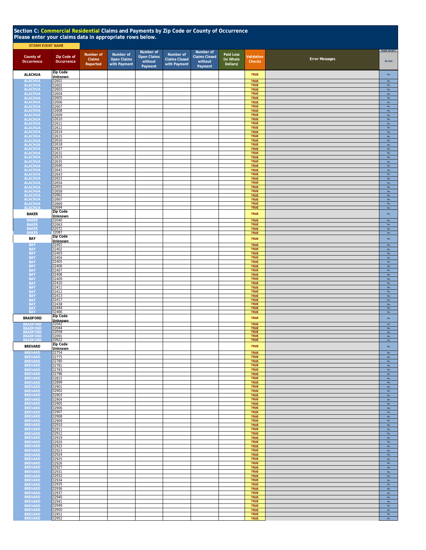|                                  | Section C: Commercial Residential Claims and Payments by Zip Code or County of Occurrence<br>Please enter your claims data in appropriate rows below.<br><b>STORM EVENT NAME</b> |                                 |                                                 |                                                       |                                                   |                                                         |                                    |                             |                       |                                |  |  |  |
|----------------------------------|----------------------------------------------------------------------------------------------------------------------------------------------------------------------------------|---------------------------------|-------------------------------------------------|-------------------------------------------------------|---------------------------------------------------|---------------------------------------------------------|------------------------------------|-----------------------------|-----------------------|--------------------------------|--|--|--|
|                                  |                                                                                                                                                                                  |                                 |                                                 |                                                       |                                                   |                                                         |                                    |                             |                       |                                |  |  |  |
| County of<br>Occurrence          | <b>Zip Code of</b><br>Occurrence                                                                                                                                                 | Number of<br>Claims<br>Reported | Number of<br><b>Open Claims</b><br>with Payment | Number of<br><b>Open Claims</b><br>without<br>Payment | Number of<br><b>Claims Closed</b><br>with Payment | Number of<br><b>Claims Closed</b><br>without<br>Payment | Paid Loss<br>(in Whole<br>Dollars) | Validation<br><b>Checks</b> | <b>Error Messages</b> | TRADE SECRET?<br>As Set        |  |  |  |
| <b>ALACHUA</b>                   | Zip Code<br><b>Unknown</b>                                                                                                                                                       |                                 |                                                 |                                                       |                                                   |                                                         |                                    | <b>TRUE</b>                 |                       | No                             |  |  |  |
| <b>ALACHUA</b>                   | 32601                                                                                                                                                                            |                                 |                                                 |                                                       |                                                   |                                                         |                                    | <b>TRUE</b>                 |                       | No                             |  |  |  |
| <b>ALACHUA</b><br><b>ALACHUA</b> | 32602<br>32603                                                                                                                                                                   |                                 |                                                 |                                                       |                                                   |                                                         |                                    | <b>TRUE</b><br>TRUE         |                       | $_{\sf No}$<br>$_{\sf No}$     |  |  |  |
| <b>ALACHUA</b>                   | 32604<br>32605                                                                                                                                                                   |                                 |                                                 |                                                       |                                                   |                                                         |                                    | <b>TRUE</b>                 |                       | $\mathsf{No}$                  |  |  |  |
| <b>ALACHUA</b><br><b>ALACHUA</b> | 32606                                                                                                                                                                            |                                 |                                                 |                                                       |                                                   |                                                         |                                    | <b>TRUE</b><br><b>TRUE</b>  |                       | $_{\rm No}$<br>$\mathsf{No}$   |  |  |  |
| <b>ALACHUA</b><br><b>ALACHUA</b> | 32607<br>32608                                                                                                                                                                   |                                 |                                                 |                                                       |                                                   |                                                         |                                    | <b>TRUE</b><br><b>TRUE</b>  |                       | $\mathsf{No}$<br>$\mathsf{No}$ |  |  |  |
| <b>ALACHUA</b>                   | 32609                                                                                                                                                                            |                                 |                                                 |                                                       |                                                   |                                                         |                                    | <b>TRUE</b>                 |                       | $\mathsf{No}$                  |  |  |  |
| <b>ALACHUA</b><br><b>ALACHUA</b> | 32610<br>32611                                                                                                                                                                   |                                 |                                                 |                                                       |                                                   |                                                         |                                    | <b>TRUE</b><br><b>TRUE</b>  |                       | No<br>No                       |  |  |  |
| <b>ALACHUA</b><br><b>ALACHUA</b> | 32612<br>32614                                                                                                                                                                   |                                 |                                                 |                                                       |                                                   |                                                         |                                    | <b>TRUE</b><br><b>TRUE</b>  |                       | $\mathsf{No}$<br><b>No</b>     |  |  |  |
| <b>ALACHUA</b>                   | 32615                                                                                                                                                                            |                                 |                                                 |                                                       |                                                   |                                                         |                                    | <b>TRUE</b>                 |                       | $\mathsf{No}$                  |  |  |  |
| <b>ALACHUA</b><br><b>ALACHUA</b> | 32616<br>32618                                                                                                                                                                   |                                 |                                                 |                                                       |                                                   |                                                         |                                    | <b>TRUE</b><br><b>TRUE</b>  |                       | No<br>No                       |  |  |  |
| <b>ALACHUA</b><br><b>ALACHUA</b> | 32627                                                                                                                                                                            |                                 |                                                 |                                                       |                                                   |                                                         |                                    | <b>TRUE</b><br>TRUE         |                       | No                             |  |  |  |
| <b>ALACHUA</b>                   | 32631<br>32633                                                                                                                                                                   |                                 |                                                 |                                                       |                                                   |                                                         |                                    | TRUE                        |                       | No<br>No                       |  |  |  |
| <b>ALACHUA</b>                   | 32635<br>32640                                                                                                                                                                   |                                 |                                                 |                                                       |                                                   |                                                         |                                    | <b>TRUE</b><br><b>TRUE</b>  |                       | $_{\rm No}$<br>No              |  |  |  |
| <b>ALACHUA</b><br>ALACHUA        | 32641                                                                                                                                                                            |                                 |                                                 |                                                       |                                                   |                                                         |                                    | <b>TRUE</b>                 |                       | $\mathsf{No}$                  |  |  |  |
| <b>ALACHUA</b><br><b>ALACHUA</b> | 32643<br>32653                                                                                                                                                                   |                                 |                                                 |                                                       |                                                   |                                                         |                                    | <b>TRUE</b><br><b>TRUE</b>  |                       | $\mathsf{No}$<br>No            |  |  |  |
| <b>ALACHUA</b>                   | 32654<br>32655                                                                                                                                                                   |                                 |                                                 |                                                       |                                                   |                                                         |                                    | <b>TRUE</b><br><b>TRUE</b>  |                       | No<br><b>No</b>                |  |  |  |
| <b>ALACHUA</b><br><b>ALACHUA</b> | 32658                                                                                                                                                                            |                                 |                                                 |                                                       |                                                   |                                                         |                                    | <b>TRUE</b>                 |                       | <b>No</b>                      |  |  |  |
| <b>ALACHUA</b><br><b>ALACHUA</b> | 32662<br>32667                                                                                                                                                                   |                                 |                                                 |                                                       |                                                   |                                                         |                                    | <b>TRUE</b><br><b>TRUE</b>  |                       | No<br>$_{\rm No}$              |  |  |  |
| <b>ALACHUA</b>                   | 32669                                                                                                                                                                            |                                 |                                                 |                                                       |                                                   |                                                         |                                    | <b>TRUE</b>                 |                       | $\mathsf{No}$                  |  |  |  |
| <b>ALACHUA</b><br><b>BAKER</b>   | 32694<br>Zip Code                                                                                                                                                                |                                 |                                                 |                                                       |                                                   |                                                         |                                    | TRUE<br><b>TRUE</b>         |                       | No<br>$\mathsf{No}$            |  |  |  |
| <b>BAKER</b>                     | Unknown<br>32040                                                                                                                                                                 |                                 |                                                 |                                                       |                                                   |                                                         |                                    | <b>TRUE</b>                 |                       | No                             |  |  |  |
| <b>BAKER</b>                     | 32063                                                                                                                                                                            |                                 |                                                 |                                                       |                                                   |                                                         |                                    | <b>TRUE</b>                 |                       | <b>No</b>                      |  |  |  |
| <b>BAKER</b><br><b>BAKER</b>     | 32072<br>32087                                                                                                                                                                   |                                 |                                                 |                                                       |                                                   |                                                         |                                    | <b>TRUE</b><br><b>TRUE</b>  |                       | <b>No</b><br>$_{\rm No}$       |  |  |  |
| BAY                              | Zip Code<br><b>Unknown</b>                                                                                                                                                       |                                 |                                                 |                                                       |                                                   |                                                         |                                    | <b>TRUE</b>                 |                       | $\mathsf{No}$                  |  |  |  |
| <b>BAY</b>                       | 32401                                                                                                                                                                            |                                 |                                                 |                                                       |                                                   |                                                         |                                    | TRUE                        |                       | $\mathsf{No}$                  |  |  |  |
| <b>BAY</b><br><b>BAY</b>         | 32402<br>32403                                                                                                                                                                   |                                 |                                                 |                                                       |                                                   |                                                         |                                    | <b>TRUE</b><br><b>TRUE</b>  |                       | No<br>$\mathsf{No}$            |  |  |  |
| <b>BAY</b>                       | 32404<br>32405                                                                                                                                                                   |                                 |                                                 |                                                       |                                                   |                                                         |                                    | <b>TRUE</b>                 |                       | $\mathsf{No}$                  |  |  |  |
| <b>BAY</b><br><b>BAY</b>         | 32406                                                                                                                                                                            |                                 |                                                 |                                                       |                                                   |                                                         |                                    | TRUE<br><b>TRUE</b>         |                       | $_{\rm No}$<br>No              |  |  |  |
| <b>BAY</b><br><b>BAY</b>         | 32407<br>32408                                                                                                                                                                   |                                 |                                                 |                                                       |                                                   |                                                         |                                    | <b>TRUE</b><br><b>TRUE</b>  |                       | $\mathsf{No}$<br>No            |  |  |  |
| <b>BAY</b>                       | 32409                                                                                                                                                                            |                                 |                                                 |                                                       |                                                   |                                                         |                                    | <b>TRUE</b>                 |                       | $\mathsf{No}$                  |  |  |  |
| <b>BAY</b><br><b>BAY</b>         | 32410<br>32411                                                                                                                                                                   |                                 |                                                 |                                                       |                                                   |                                                         |                                    | <b>TRUE</b><br><b>TRUE</b>  |                       | $_{\sf No}$<br>No              |  |  |  |
| <b>BAY</b>                       | 32412                                                                                                                                                                            |                                 |                                                 |                                                       |                                                   |                                                         |                                    | <b>TRUE</b>                 |                       | $_{\sf No}$                    |  |  |  |
| <b>BAY</b><br><b>BAY</b>         | 32413<br>32417                                                                                                                                                                   |                                 |                                                 |                                                       |                                                   |                                                         |                                    | <b>TRUE</b><br><b>TRUE</b>  |                       | $\mathsf{No}$<br>$\mathsf{No}$ |  |  |  |
| <b>BAY</b>                       | 32438<br>32444                                                                                                                                                                   |                                 |                                                 |                                                       |                                                   |                                                         |                                    | <b>TRUE</b><br><b>TRUE</b>  |                       | $\mathsf{No}$<br><b>No</b>     |  |  |  |
| BAY<br>BAY                       | 32466                                                                                                                                                                            |                                 |                                                 |                                                       |                                                   |                                                         |                                    | <b>TRUE</b>                 |                       | No                             |  |  |  |
| <b>BRADFORD</b>                  | Zip Code<br><b>Unknown</b>                                                                                                                                                       |                                 |                                                 |                                                       |                                                   |                                                         |                                    | <b>TRUE</b>                 |                       | No                             |  |  |  |
| <b>BRADFORD</b>                  | 32042<br>32044                                                                                                                                                                   |                                 |                                                 |                                                       |                                                   |                                                         |                                    | <b>TRUE</b><br><b>TRUE</b>  |                       | ${\sf No}$<br>No               |  |  |  |
| BRADFORD<br>BRADFORD             | 32058<br>32091                                                                                                                                                                   |                                 |                                                 |                                                       |                                                   |                                                         |                                    | <b>TRUE</b><br><b>TRUE</b>  |                       | <b>No</b>                      |  |  |  |
| <b>BRADFORD</b>                  | 32622                                                                                                                                                                            |                                 |                                                 |                                                       |                                                   |                                                         |                                    | <b>TRUE</b>                 |                       | No                             |  |  |  |
| <b>BREVARD</b>                   | <b>Zip Code</b><br>Unknown                                                                                                                                                       |                                 |                                                 |                                                       |                                                   |                                                         |                                    | <b>TRUE</b>                 |                       | No                             |  |  |  |
| <b>BREVARD</b><br><b>BREVARD</b> | 32754<br>32775                                                                                                                                                                   |                                 |                                                 |                                                       |                                                   |                                                         |                                    | <b>TRUE</b><br><b>TRUE</b>  |                       | <b>No</b><br>$\mathsf{No}$     |  |  |  |
| <b>BREVARD</b>                   | 32780                                                                                                                                                                            |                                 |                                                 |                                                       |                                                   |                                                         |                                    | <b>TRUE</b>                 |                       | No                             |  |  |  |
| <b>BREVARD</b><br><b>BREVARD</b> | 32781<br>32783                                                                                                                                                                   |                                 |                                                 |                                                       |                                                   |                                                         |                                    | <b>TRUE</b><br><b>TRUE</b>  |                       | No<br>No                       |  |  |  |
| <b>BREVARD</b>                   | 32796                                                                                                                                                                            |                                 |                                                 |                                                       |                                                   |                                                         |                                    | <b>TRUE</b>                 |                       | $_{\rm No}$                    |  |  |  |
| <b>BREVARD</b><br><b>BREVARD</b> | 32815<br>32899                                                                                                                                                                   |                                 |                                                 |                                                       |                                                   |                                                         |                                    | <b>TRUE</b><br><b>TRUE</b>  |                       | $_{\rm No}$<br>${\sf No}$      |  |  |  |
| <b>BREVARD</b>                   | 32901<br>32902                                                                                                                                                                   |                                 |                                                 |                                                       |                                                   |                                                         |                                    | <b>TRUE</b><br><b>TRUE</b>  |                       | $_{\sf No}$                    |  |  |  |
| <b>BREVARD</b><br><b>BREVARD</b> | 32903                                                                                                                                                                            |                                 |                                                 |                                                       |                                                   |                                                         |                                    | <b>TRUE</b>                 |                       | $\mathsf{No}$<br><b>No</b>     |  |  |  |
| <b>BREVARD</b><br><b>BREVARD</b> | 32904<br>32905                                                                                                                                                                   |                                 |                                                 |                                                       |                                                   |                                                         |                                    | <b>TRUE</b><br><b>TRUE</b>  |                       | $\mathsf{No}$<br>No            |  |  |  |
| <b>BREVARD</b>                   | 32906                                                                                                                                                                            |                                 |                                                 |                                                       |                                                   |                                                         |                                    | <b>TRUE</b>                 |                       | No                             |  |  |  |
| <b>BREVARD</b><br><b>BREVARD</b> | 32907<br>32908                                                                                                                                                                   |                                 |                                                 |                                                       |                                                   |                                                         |                                    | <b>TRUE</b><br><b>TRUE</b>  |                       | $\mathsf{No}$<br>$\mathsf{No}$ |  |  |  |
| <b>BREVARD</b>                   | 32909                                                                                                                                                                            |                                 |                                                 |                                                       |                                                   |                                                         |                                    | <b>TRUE</b>                 |                       | $\mathsf{No}$                  |  |  |  |
| <b>BREVARD</b><br><b>BREVARD</b> | 32910<br>32911                                                                                                                                                                   |                                 |                                                 |                                                       |                                                   |                                                         |                                    | <b>TRUE</b><br><b>TRUE</b>  |                       | $\mathsf{No}$<br>$\mathsf{No}$ |  |  |  |
| <b>BREVARD</b><br><b>BREVARD</b> | 32912<br>32919                                                                                                                                                                   |                                 |                                                 |                                                       |                                                   |                                                         |                                    | <b>TRUE</b><br><b>TRUE</b>  |                       | $\mathsf{No}$<br>$\mathsf{No}$ |  |  |  |
| <b>BREVARD</b>                   | 32920                                                                                                                                                                            |                                 |                                                 |                                                       |                                                   |                                                         |                                    | <b>TRUE</b>                 |                       | No                             |  |  |  |
| <b>BREVARD</b><br><b>BREVARD</b> | 32922<br>32923                                                                                                                                                                   |                                 |                                                 |                                                       |                                                   |                                                         |                                    | <b>TRUE</b><br><b>TRUE</b>  |                       | $\mathsf{No}$<br>$\mathsf{No}$ |  |  |  |
| <b>BREVARD</b><br><b>BREVARD</b> | 32924<br>32925                                                                                                                                                                   |                                 |                                                 |                                                       |                                                   |                                                         |                                    | <b>TRUE</b><br><b>TRUE</b>  |                       | <b>No</b><br>No                |  |  |  |
| <b>BREVARD</b>                   | 32926                                                                                                                                                                            |                                 |                                                 |                                                       |                                                   |                                                         |                                    | <b>TRUE</b>                 |                       | No                             |  |  |  |
| <b>BREVARD</b><br><b>BREVARD</b> | 32927<br>32931                                                                                                                                                                   |                                 |                                                 |                                                       |                                                   |                                                         |                                    | <b>TRUE</b><br><b>TRUE</b>  |                       | No<br>No                       |  |  |  |
| <b>BREVARD</b>                   | 32932                                                                                                                                                                            |                                 |                                                 |                                                       |                                                   |                                                         |                                    | <b>TRUE</b>                 |                       | No                             |  |  |  |
| <b>BREVARD</b><br><b>BREVARD</b> | 32934<br>32935                                                                                                                                                                   |                                 |                                                 |                                                       |                                                   |                                                         |                                    | <b>TRUE</b><br><b>TRUE</b>  |                       | $_{\rm No}$<br>$_{\sf No}$     |  |  |  |
| <b>BREVARD</b>                   | 32936<br>32937                                                                                                                                                                   |                                 |                                                 |                                                       |                                                   |                                                         |                                    | <b>TRUE</b><br><b>TRUE</b>  |                       | $_{\sf No}$                    |  |  |  |
| <b>BREVARD</b><br><b>BREVARD</b> | 32940                                                                                                                                                                            |                                 |                                                 |                                                       |                                                   |                                                         |                                    | <b>TRUE</b>                 |                       | $\mathsf{No}$<br><b>No</b>     |  |  |  |
| <b>BREVARD</b><br><b>BREVARD</b> | 32941<br>32949                                                                                                                                                                   |                                 |                                                 |                                                       |                                                   |                                                         |                                    | <b>TRUE</b><br><b>TRUE</b>  |                       | $\mathsf{No}$<br>$\mathsf{No}$ |  |  |  |
| <b>BREVARD</b>                   | 32950                                                                                                                                                                            |                                 |                                                 |                                                       |                                                   |                                                         |                                    | <b>TRUE</b>                 |                       | <b>No</b>                      |  |  |  |
| <b>BREVARD</b><br><b>BREVARD</b> | 32951<br>32952                                                                                                                                                                   |                                 |                                                 |                                                       |                                                   |                                                         |                                    | <b>TRUE</b><br><b>TRUE</b>  |                       | $\mathsf{No}$<br>No            |  |  |  |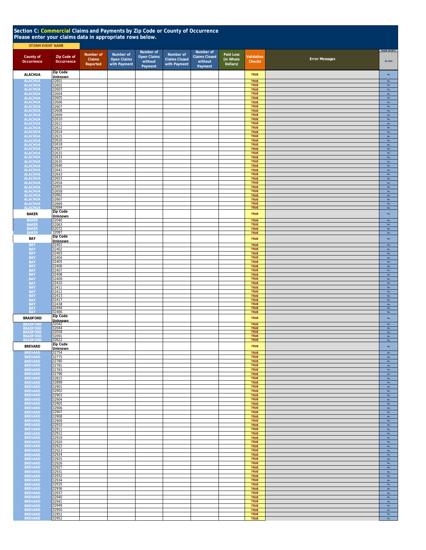| Section C: Commercial Claims and Payments by Zip Code or County of Occurrence<br>Please enter your claims data in appropriate rows below. |                                  |                                 |                                                 |                                                       |                                                   |                                                         |                                    |                            |                       |                                |
|-------------------------------------------------------------------------------------------------------------------------------------------|----------------------------------|---------------------------------|-------------------------------------------------|-------------------------------------------------------|---------------------------------------------------|---------------------------------------------------------|------------------------------------|----------------------------|-----------------------|--------------------------------|
| <b>STORM EVENT NAME</b><br>County of<br>Occurrence                                                                                        | <b>Zip Code of</b><br>Occurrence | Number of<br>Claims<br>Reported | Number of<br><b>Open Claims</b><br>with Payment | Number of<br><b>Open Claims</b><br>without<br>Payment | Number of<br><b>Claims Closed</b><br>with Payment | Number of<br><b>Claims Closed</b><br>without<br>Payment | Paid Loss<br>(in Whole<br>Dollars) | Validation<br>Checks       | <b>Error Messages</b> | TRADE SECRET?<br>As Set        |
| <b>ALACHUA</b>                                                                                                                            | <b>Zip Code</b><br>Unknown       |                                 |                                                 |                                                       |                                                   |                                                         |                                    | <b>TRUE</b>                |                       | No                             |
| <b>ALACHUA</b><br><b>ALACHUA</b>                                                                                                          | 32601<br>32602                   |                                 |                                                 |                                                       |                                                   |                                                         |                                    | <b>TRUE</b><br>TRUE        |                       | No<br>$\mathsf{No}$            |
| <b>ALACHUA</b>                                                                                                                            | 32603<br>32604                   |                                 |                                                 |                                                       |                                                   |                                                         |                                    | TRUE<br>TRUE               |                       | $\mathsf{No}$<br>$\mathsf{No}$ |
| ALACHUA<br>ALACHUA<br>ALACHUA                                                                                                             | 32605                            |                                 |                                                 |                                                       |                                                   |                                                         |                                    | TRUE<br>TRUE               |                       | No                             |
|                                                                                                                                           | 32606<br>32607                   |                                 |                                                 |                                                       |                                                   |                                                         |                                    | TRUE                       |                       | $\mathsf{No}$<br>No            |
| ALACHUA<br>ALACHUA<br>ALACHUA                                                                                                             | 32608<br>32609                   |                                 |                                                 |                                                       |                                                   |                                                         |                                    | TRUE<br>TRUE               |                       | $\mathsf{No}$<br>No            |
| <b>ALACHUA</b><br><b>ALACHUA</b>                                                                                                          | 32610<br>32611                   |                                 |                                                 |                                                       |                                                   |                                                         |                                    | <b>TRUE</b><br>TRUE        |                       | $\mathsf{No}$<br>No            |
| <b>ALACHUA</b><br><b>ALACHUA</b>                                                                                                          | 32612<br>32614                   |                                 |                                                 |                                                       |                                                   |                                                         |                                    | TRUE<br><b>TRUE</b>        |                       | No<br>No                       |
| <b>ALACHUA</b><br><b>ALACHUA</b>                                                                                                          | 32615<br>32616                   |                                 |                                                 |                                                       |                                                   |                                                         |                                    | TRUE<br>TRUE               |                       | No<br>$\mathsf{No}$            |
| <b>ALACHUA</b><br><b>ALACHUA</b>                                                                                                          | 32618<br>32627                   |                                 |                                                 |                                                       |                                                   |                                                         |                                    | TRUE<br>TRUE               |                       | $\mathsf{No}$<br>$\mathsf{No}$ |
| <b>ALACHUA</b><br><b>ALACHUA</b>                                                                                                          | 32631<br>32633                   |                                 |                                                 |                                                       |                                                   |                                                         |                                    | <b>TRUE</b><br><b>TRUE</b> |                       | No<br>$\mathsf{No}$            |
| <b>ALACHUA</b>                                                                                                                            | 32635                            |                                 |                                                 |                                                       |                                                   |                                                         |                                    | <b>TRUE</b>                |                       | $\mathsf{No}$                  |
| <b>ALACHUA</b><br><b>ALACHUA</b>                                                                                                          | 32640<br>32641                   |                                 |                                                 |                                                       |                                                   |                                                         |                                    | TRUE<br><b>TRUE</b>        |                       | $\mathsf{No}$<br>$\mathsf{No}$ |
| <b>ALACHUA</b><br><b>ALACHUA</b>                                                                                                          | 32643<br>32653                   |                                 |                                                 |                                                       |                                                   |                                                         |                                    | <b>TRUE</b><br>TRUE        |                       | $\mathsf{No}$<br>No            |
| <b>ALACHUA</b><br><b>ALACHUA</b>                                                                                                          | 32654<br>32655                   |                                 |                                                 |                                                       |                                                   |                                                         |                                    | TRUE<br>TRUE               |                       | No<br>No                       |
| <b>ALACHUA</b><br><b>ALACHUA</b>                                                                                                          | 32658<br>32662                   |                                 |                                                 |                                                       |                                                   |                                                         |                                    | TRUE<br>TRUE               |                       | <b>No</b><br>No                |
| <b>ALACHUA</b><br><b>ALACHUA</b>                                                                                                          | 32667                            |                                 |                                                 |                                                       |                                                   |                                                         |                                    | TRUE<br>TRUE               |                       | No<br>No                       |
| <b>ALACHUA</b>                                                                                                                            | 32669<br>32694<br>Zip Code       |                                 |                                                 |                                                       |                                                   |                                                         |                                    | <b>TRUE</b>                |                       | No                             |
| <b>BAKER</b><br><b>BAKER</b>                                                                                                              | Unknown<br>32040                 |                                 |                                                 |                                                       |                                                   |                                                         |                                    | <b>TRUE</b><br><b>TRUE</b> |                       | $\mathsf{No}$<br>No            |
| <b>BAKER</b>                                                                                                                              | 32063                            |                                 |                                                 |                                                       |                                                   |                                                         |                                    | <b>TRUE</b>                |                       | No<br><b>No</b>                |
| <b>BAKER</b><br><b>BAKER</b>                                                                                                              | 32072<br>32087                   |                                 |                                                 |                                                       |                                                   |                                                         |                                    | TRUE<br><b>TRUE</b>        |                       | No                             |
| BAY                                                                                                                                       | Zip Code<br><b>Unknown</b>       |                                 |                                                 |                                                       |                                                   |                                                         |                                    | <b>TRUE</b>                |                       | $\mathsf{No}$                  |
| <b>BAY</b><br><b>BAY</b>                                                                                                                  | 32401<br>32402                   |                                 |                                                 |                                                       |                                                   |                                                         |                                    | TRUE<br>TRUE               |                       | No<br>$\mathsf{No}$            |
| <b>BAY</b><br><b>BAY</b>                                                                                                                  | 32403<br>32404                   |                                 |                                                 |                                                       |                                                   |                                                         |                                    | <b>TRUE</b><br><b>TRUE</b> |                       | $\mathsf{No}$<br>$\mathsf{No}$ |
| <b>BAY</b><br><b>BAY</b>                                                                                                                  | 32405<br>32406                   |                                 |                                                 |                                                       |                                                   |                                                         |                                    | TRUE<br>TRUE               |                       | No<br>No                       |
| <b>BAY</b><br><b>BAY</b>                                                                                                                  | 32407<br>32408                   |                                 |                                                 |                                                       |                                                   |                                                         |                                    | <b>TRUE</b><br>TRUE        |                       | No<br><b>No</b>                |
| <b>BAY</b><br><b>BAY</b>                                                                                                                  | 32409<br>32410                   |                                 |                                                 |                                                       |                                                   |                                                         |                                    | TRUE<br>TRUE               |                       | $\mathsf{No}$<br>No            |
| <b>BAY</b>                                                                                                                                | 32411                            |                                 |                                                 |                                                       |                                                   |                                                         |                                    | TRUE                       |                       | $\mathsf{No}$                  |
| <b>BAY</b><br><b>BAY</b>                                                                                                                  | 32412<br>32413                   |                                 |                                                 |                                                       |                                                   |                                                         |                                    | TRUE<br>TRUE               |                       | No<br>No                       |
| BAY<br>BAY<br>BAY<br>BAY                                                                                                                  | 32417<br>32438                   |                                 |                                                 |                                                       |                                                   |                                                         |                                    | TRUE<br>TRUE               |                       | No<br>No                       |
| <b>BAY</b>                                                                                                                                | 32444<br>32466                   |                                 |                                                 |                                                       |                                                   |                                                         |                                    | <b>TRUE</b><br>TRUE        |                       | <b>No</b><br>No                |
| <b>BRADFORD</b>                                                                                                                           | Zip Code<br><b>Unknown</b>       |                                 |                                                 |                                                       |                                                   |                                                         |                                    | <b>TRUE</b>                |                       | No                             |
| <b>BRADFORD</b><br><b>BRADFORD</b>                                                                                                        | 32042<br>32044                   |                                 |                                                 |                                                       |                                                   |                                                         |                                    | <b>TRUE</b><br><b>TRUE</b> |                       | $\mathsf{No}$<br>$\mathsf{No}$ |
| <b>BRADFORD</b><br><b>BRADFORD</b>                                                                                                        | 32058<br>32091                   |                                 |                                                 |                                                       |                                                   |                                                         |                                    | <b>TRUE</b><br><b>TRUE</b> |                       | <b>No</b><br>No                |
| <b>BRADFORD</b>                                                                                                                           | 32622<br>Zip Code                |                                 |                                                 |                                                       |                                                   |                                                         |                                    | <b>TRUE</b>                |                       | No                             |
| <b>BREVARD</b><br><b>BREVARD</b>                                                                                                          | <b>Unknown</b><br>32754          |                                 |                                                 |                                                       |                                                   |                                                         |                                    | <b>TRUE</b><br><b>TRUE</b> |                       | No<br>No                       |
| <b>BREVARD</b><br><b>BREVARD</b>                                                                                                          | 32775<br>32780                   |                                 |                                                 |                                                       |                                                   |                                                         |                                    | <b>TRUE</b><br>TRUE        |                       | No<br>$\mathsf{No}$            |
| <b>BREVARD</b>                                                                                                                            | 32781                            |                                 |                                                 |                                                       |                                                   |                                                         |                                    | <b>TRUE</b>                |                       | No                             |
| <b>BREVARD</b><br><b>BREVARD</b>                                                                                                          | 32783<br>32796                   |                                 |                                                 |                                                       |                                                   |                                                         |                                    | <b>TRUE</b><br><b>TRUE</b> |                       | $\mathsf{No}$<br>No            |
| <b>BREVARD</b><br><b>BREVARD</b>                                                                                                          | 32815<br>32899                   |                                 |                                                 |                                                       |                                                   |                                                         |                                    | <b>TRUE</b><br><b>TRUE</b> |                       | $\mathsf{No}$<br>$\mathsf{No}$ |
| <b>BREVARD</b><br><b>BREVARD</b>                                                                                                          | 32901<br>32902                   |                                 |                                                 |                                                       |                                                   |                                                         |                                    | <b>TRUE</b><br><b>TRUE</b> |                       | $\mathsf{No}$<br>No            |
| <b>BREVARD</b><br><b>BREVARD</b>                                                                                                          | 32903<br>32904                   |                                 |                                                 |                                                       |                                                   |                                                         |                                    | <b>TRUE</b><br><b>TRUE</b> |                       | No<br>No                       |
| <b>BREVARD</b><br><b>BREVARD</b>                                                                                                          | 32905<br>32906                   |                                 |                                                 |                                                       |                                                   |                                                         |                                    | <b>TRUE</b><br><b>TRUE</b> |                       | <b>No</b><br>$\mathsf{No}$     |
| <b>BREVARD</b><br><b>BREVARD</b>                                                                                                          | 32907<br>32908                   |                                 |                                                 |                                                       |                                                   |                                                         |                                    | <b>TRUE</b><br><b>TRUE</b> |                       | No<br>$\mathsf{No}$            |
| <b>BREVARD</b><br><b>BREVARD</b>                                                                                                          | 32909<br>32910                   |                                 |                                                 |                                                       |                                                   |                                                         |                                    | <b>TRUE</b><br><b>TRUE</b> |                       | $\mathsf{No}$<br>$\mathsf{No}$ |
| <b>BREVARD</b>                                                                                                                            | 32911                            |                                 |                                                 |                                                       |                                                   |                                                         |                                    | <b>TRUE</b>                |                       | $\mathsf{No}$                  |
| <b>BREVARD</b><br><b>BREVARD</b>                                                                                                          | 32912<br>32919                   |                                 |                                                 |                                                       |                                                   |                                                         |                                    | <b>TRUE</b><br><b>TRUE</b> |                       | $\mathsf{No}$<br>$\mathsf{No}$ |
| <b>BREVARD</b><br><b>BREVARD</b>                                                                                                          | 32920<br>32922                   |                                 |                                                 |                                                       |                                                   |                                                         |                                    | <b>TRUE</b><br><b>TRUE</b> |                       | No<br><b>No</b>                |
| <b>BREVARD</b><br><b>BREVARD</b>                                                                                                          | 32923<br>32924                   |                                 |                                                 |                                                       |                                                   |                                                         |                                    | <b>TRUE</b><br><b>TRUE</b> |                       | No<br>No                       |
| <b>BREVARD</b><br><b>BREVARD</b>                                                                                                          | 32925<br>32926                   |                                 |                                                 |                                                       |                                                   |                                                         |                                    | <b>TRUE</b><br>TRUE        |                       | No<br>$\mathsf{No}$            |
| <b>BREVARD</b><br><b>BREVARD</b>                                                                                                          | 32927<br>32931                   |                                 |                                                 |                                                       |                                                   |                                                         |                                    | <b>TRUE</b><br><b>TRUE</b> |                       | No<br>$\mathsf{No}$            |
| <b>BREVARD</b>                                                                                                                            | 32932<br>32934                   |                                 |                                                 |                                                       |                                                   |                                                         |                                    | <b>TRUE</b><br><b>TRUE</b> |                       | No                             |
| <b>BREVARD</b><br><b>BREVARD</b>                                                                                                          | 32935                            |                                 |                                                 |                                                       |                                                   |                                                         |                                    | <b>TRUE</b>                |                       | $\mathsf{No}$<br>$\mathsf{No}$ |
| <b>BREVARD</b><br><b>BREVARD</b>                                                                                                          | 32936<br>32937                   |                                 |                                                 |                                                       |                                                   |                                                         |                                    | <b>TRUE</b><br><b>TRUE</b> |                       | No<br>No                       |
| <b>BREVARD</b><br><b>BREVARD</b>                                                                                                          | 32940<br>32941                   |                                 |                                                 |                                                       |                                                   |                                                         |                                    | <b>TRUE</b><br>TRUE        |                       | No<br>No                       |
| <b>BREVARD</b><br><b>BREVARD</b>                                                                                                          | 32949<br>32950                   |                                 |                                                 |                                                       |                                                   |                                                         |                                    | TRUE<br>TRUE               |                       | No<br><b>No</b>                |
| <b>BREVARD</b><br><b>BREVARD</b>                                                                                                          | 32951<br>32952                   |                                 |                                                 |                                                       |                                                   |                                                         |                                    | TRUE<br><b>TRUE</b>        |                       | $\mathsf{No}$<br>No            |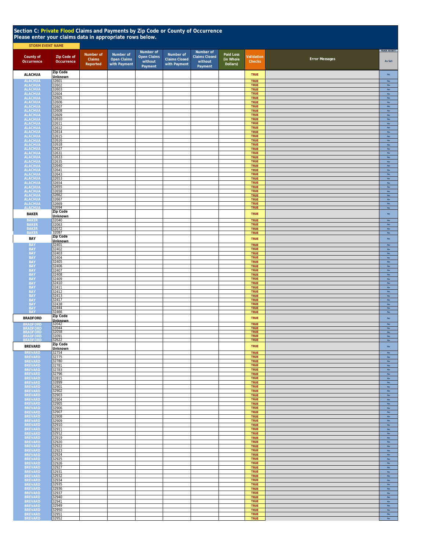| Section C: Private Flood Claims and Payments by Zip Code or County of Occurrence<br>Please enter your claims data in appropriate rows below. |                                  |                                 |                                                 |                                                       |                                                   |                                                         |                                    |                             |                       |                                |  |  |
|----------------------------------------------------------------------------------------------------------------------------------------------|----------------------------------|---------------------------------|-------------------------------------------------|-------------------------------------------------------|---------------------------------------------------|---------------------------------------------------------|------------------------------------|-----------------------------|-----------------------|--------------------------------|--|--|
| <b>STORM EVENT NAME</b>                                                                                                                      |                                  |                                 |                                                 |                                                       |                                                   |                                                         |                                    |                             |                       |                                |  |  |
| County of<br>Occurrence                                                                                                                      | <b>Zip Code of</b><br>Occurrence | Number of<br>Claims<br>Reported | Number of<br><b>Open Claims</b><br>with Payment | Number of<br><b>Open Claims</b><br>without<br>Payment | Number of<br><b>Claims Closed</b><br>with Payment | Number of<br><b>Claims Closed</b><br>without<br>Payment | Paid Loss<br>(in Whole<br>Dollars) | Validation<br><b>Checks</b> | <b>Error Messages</b> | TRADE SECRET?<br>As Set        |  |  |
| <b>ALACHUA</b>                                                                                                                               | Zip Code<br><b>Unknown</b>       |                                 |                                                 |                                                       |                                                   |                                                         |                                    | <b>TRUE</b>                 |                       | No                             |  |  |
| <b>ALACHUA</b>                                                                                                                               | 32601                            |                                 |                                                 |                                                       |                                                   |                                                         |                                    | <b>TRUE</b>                 |                       | No                             |  |  |
| <b>ALACHUA</b><br><b>ALACHUA</b>                                                                                                             | 32602<br>32603                   |                                 |                                                 |                                                       |                                                   |                                                         |                                    | <b>TRUE</b><br><b>TRUE</b>  |                       | $_{\sf No}$<br>$_{\rm No}$     |  |  |
| <b>ALACHUA</b><br><b>ALACHUA</b>                                                                                                             | 32604<br>32605                   |                                 |                                                 |                                                       |                                                   |                                                         |                                    | <b>TRUE</b><br><b>TRUE</b>  |                       | No<br>$_{\rm No}$              |  |  |
| <b>ALACHUA</b>                                                                                                                               | 32606                            |                                 |                                                 |                                                       |                                                   |                                                         |                                    | <b>TRUE</b>                 |                       | $\mathsf{No}$                  |  |  |
| <b>ALACHUA</b><br><b>ALACHUA</b>                                                                                                             | 32607<br>32608                   |                                 |                                                 |                                                       |                                                   |                                                         |                                    | <b>TRUE</b><br><b>TRUE</b>  |                       | $\mathsf{No}$<br>$\mathsf{No}$ |  |  |
| <b>ALACHUA</b><br><b>ALACHUA</b>                                                                                                             | 32609<br>32610                   |                                 |                                                 |                                                       |                                                   |                                                         |                                    | <b>TRUE</b><br><b>TRUE</b>  |                       | $\mathsf{No}$<br>$\mathsf{No}$ |  |  |
| <b>ALACHUA</b><br><b>ALACHUA</b>                                                                                                             | 32611<br>32612                   |                                 |                                                 |                                                       |                                                   |                                                         |                                    | <b>TRUE</b><br><b>TRUE</b>  |                       | No<br>$\mathsf{No}$            |  |  |
| <b>ALACHUA</b>                                                                                                                               | 32614                            |                                 |                                                 |                                                       |                                                   |                                                         |                                    | <b>TRUE</b>                 |                       | <b>No</b>                      |  |  |
| <b>ALACHUA</b><br><b>ALACHUA</b>                                                                                                             | 32615<br>32616                   |                                 |                                                 |                                                       |                                                   |                                                         |                                    | <b>TRUE</b><br><b>TRUE</b>  |                       | No<br>No                       |  |  |
| <b>ALACHUA</b><br><b>ALACHUA</b>                                                                                                             | 32618<br>32627                   |                                 |                                                 |                                                       |                                                   |                                                         |                                    | <b>TRUE</b><br><b>TRUE</b>  |                       | No<br>No                       |  |  |
| <b>ALACHUA</b>                                                                                                                               | 32631<br>32633                   |                                 |                                                 |                                                       |                                                   |                                                         |                                    | <b>TRUE</b><br>TRUE         |                       | No<br>No                       |  |  |
| ALACHUA<br>ALACHUA                                                                                                                           | 32635                            |                                 |                                                 |                                                       |                                                   |                                                         |                                    | <b>TRUE</b>                 |                       | No                             |  |  |
| ALACHUA<br>ALACHUA<br>ALACHUA                                                                                                                | 32640<br>32641                   |                                 |                                                 |                                                       |                                                   |                                                         |                                    | <b>TRUE</b><br><b>TRUE</b>  |                       | No<br>$\mathsf{No}$            |  |  |
|                                                                                                                                              | 32643<br>32653                   |                                 |                                                 |                                                       |                                                   |                                                         |                                    | <b>TRUE</b><br>TRUE         |                       | $\mathsf{No}$<br>$_{\rm No}$   |  |  |
| ALACHUA<br>ALACHUA                                                                                                                           | 32654                            |                                 |                                                 |                                                       |                                                   |                                                         |                                    | <b>TRUE</b>                 |                       | No                             |  |  |
| <b>ALACHUA</b><br><b>ALACHUA</b>                                                                                                             | 32655<br>32658                   |                                 |                                                 |                                                       |                                                   |                                                         |                                    | <b>TRUE</b><br><b>TRUE</b>  |                       | $\mathsf{No}$<br><b>No</b>     |  |  |
| <b>ALACHUA</b><br><b>ALACHUA</b>                                                                                                             | 32662<br>32667                   |                                 |                                                 |                                                       |                                                   |                                                         |                                    | <b>TRUE</b><br><b>TRUE</b>  |                       | No<br>$\mathsf{No}$            |  |  |
| <b>ALACHUA</b>                                                                                                                               | 32669                            |                                 |                                                 |                                                       |                                                   |                                                         |                                    | <b>TRUE</b>                 |                       | $\mathsf{No}$                  |  |  |
| <b>ALACHUA</b><br><b>BAKER</b>                                                                                                               | 32694<br>Zip Code                |                                 |                                                 |                                                       |                                                   |                                                         |                                    | <b>TRUE</b><br><b>TRUE</b>  |                       | No<br>$\mathsf{No}$            |  |  |
| <b>BAKER</b>                                                                                                                                 | Unknown<br>32040                 |                                 |                                                 |                                                       |                                                   |                                                         |                                    | <b>TRUE</b>                 |                       | $\mathsf{No}$                  |  |  |
| <b>BAKER</b>                                                                                                                                 | 32063                            |                                 |                                                 |                                                       |                                                   |                                                         |                                    | TRUE                        |                       | No                             |  |  |
| <b>BAKER</b><br><b>BAKEF</b>                                                                                                                 | 32072<br>32087                   |                                 |                                                 |                                                       |                                                   |                                                         |                                    | <b>TRUE</b><br><b>TRUE</b>  |                       | No<br>$\mathsf{No}$            |  |  |
| BAY                                                                                                                                          | Zip Code<br><b>Unknown</b>       |                                 |                                                 |                                                       |                                                   |                                                         |                                    | <b>TRUE</b>                 |                       | $\mathsf{No}$                  |  |  |
| <b>BAY</b>                                                                                                                                   | 32401<br>32402                   |                                 |                                                 |                                                       |                                                   |                                                         |                                    | <b>TRUE</b><br><b>TRUE</b>  |                       | $_{\rm No}$                    |  |  |
| BAY<br><b>BAY</b>                                                                                                                            | 32403                            |                                 |                                                 |                                                       |                                                   |                                                         |                                    | <b>TRUE</b>                 |                       | No<br>$_{\sf No}$              |  |  |
| <b>BAY</b><br><b>BAY</b>                                                                                                                     | 32404<br>32405                   |                                 |                                                 |                                                       |                                                   |                                                         |                                    | <b>TRUE</b><br><b>TRUE</b>  |                       | $_{\sf No}$<br>$_{\rm No}$     |  |  |
| <b>BAY</b>                                                                                                                                   | 32406<br>32407                   |                                 |                                                 |                                                       |                                                   |                                                         |                                    | <b>TRUE</b><br><b>TRUE</b>  |                       | No<br>$\mathsf{No}$            |  |  |
| <b>BAY</b><br><b>BAY</b>                                                                                                                     | 32408                            |                                 |                                                 |                                                       |                                                   |                                                         |                                    | <b>TRUE</b>                 |                       | No                             |  |  |
| <b>BAY</b><br><b>BAY</b>                                                                                                                     | 32409<br>32410                   |                                 |                                                 |                                                       |                                                   |                                                         |                                    | <b>TRUE</b><br><b>TRUE</b>  |                       | $\mathsf{No}$<br>$_{\sf No}$   |  |  |
| <b>BAY</b>                                                                                                                                   | 32411                            |                                 |                                                 |                                                       |                                                   |                                                         |                                    | <b>TRUE</b>                 |                       | $_{\rm No}$                    |  |  |
| <b>BAY</b><br><b>BAY</b>                                                                                                                     | 32412<br>32413                   |                                 |                                                 |                                                       |                                                   |                                                         |                                    | <b>TRUE</b><br><b>TRUE</b>  |                       | $_{\sf No}$<br>$\mathsf{No}$   |  |  |
| <b>BAY</b><br><b>BAY</b>                                                                                                                     | 32417                            |                                 |                                                 |                                                       |                                                   |                                                         |                                    | <b>TRUE</b><br><b>TRUE</b>  |                       | $\mathsf{No}$<br>$\mathsf{No}$ |  |  |
| <b>BAY</b><br><b>BAY</b>                                                                                                                     | 32438<br>32444<br>32466          |                                 |                                                 |                                                       |                                                   |                                                         |                                    | <b>TRUE</b><br><b>TRUE</b>  |                       | <b>No</b><br>No                |  |  |
| <b>BRADFORD</b>                                                                                                                              | Zip Code                         |                                 |                                                 |                                                       |                                                   |                                                         |                                    | <b>TRUE</b>                 |                       | No                             |  |  |
| <b>BRADFORD</b>                                                                                                                              | <b>Unknown</b><br>32042          |                                 |                                                 |                                                       |                                                   |                                                         |                                    | <b>TRUE</b>                 |                       | $_{\sf No}$                    |  |  |
| BRADFORD<br>BRADFORD                                                                                                                         | 32044<br>32058                   |                                 |                                                 |                                                       |                                                   |                                                         |                                    | <b>TRUE</b><br><b>TRUE</b>  |                       | No<br><b>No</b>                |  |  |
| <b>BRADFORD</b>                                                                                                                              | 32091<br>32622                   |                                 |                                                 |                                                       |                                                   |                                                         |                                    | TRUE<br><b>TRUE</b>         |                       | No                             |  |  |
| <b>BREVARD</b>                                                                                                                               | Zip Code                         |                                 |                                                 |                                                       |                                                   |                                                         |                                    | <b>TRUE</b>                 |                       | No                             |  |  |
| <b>BREVARD</b>                                                                                                                               | <b>Unknown</b><br>32754          |                                 |                                                 |                                                       |                                                   |                                                         |                                    | <b>TRUE</b>                 |                       | <b>No</b>                      |  |  |
| <b>BREVARD</b><br><b>BREVARD</b>                                                                                                             | 32775<br>32780                   |                                 |                                                 |                                                       |                                                   |                                                         |                                    | <b>TRUE</b><br><b>TRUE</b>  |                       | <b>No</b><br>No                |  |  |
| <b>BREVARD</b>                                                                                                                               | 32781                            |                                 |                                                 |                                                       |                                                   |                                                         |                                    | <b>TRUE</b>                 |                       | No                             |  |  |
| <b>BREVARD</b><br><b>BREVARD</b>                                                                                                             | 32783<br>32796                   |                                 |                                                 |                                                       |                                                   |                                                         |                                    | <b>TRUE</b><br><b>TRUE</b>  |                       | $_{\sf No}$<br>$_{\rm No}$     |  |  |
| <b>BREVARD</b><br><b>BREVARD</b>                                                                                                             | 32815<br>32899                   |                                 |                                                 |                                                       |                                                   |                                                         |                                    | <b>TRUE</b><br><b>TRUE</b>  |                       | $_{\rm No}$<br>$_{\sf No}$     |  |  |
| <b>BREVARD</b>                                                                                                                               | 32901<br>32902                   |                                 |                                                 |                                                       |                                                   |                                                         |                                    | <b>TRUE</b><br><b>TRUE</b>  |                       | $_{\sf No}$                    |  |  |
| <b>BREVARD</b><br><b>BREVARD</b>                                                                                                             | 32903                            |                                 |                                                 |                                                       |                                                   |                                                         |                                    | <b>TRUE</b>                 |                       | $\mathsf{No}$<br><b>No</b>     |  |  |
| <b>BREVARD</b><br><b>BREVARD</b>                                                                                                             | 32904<br>32905                   |                                 |                                                 |                                                       |                                                   |                                                         |                                    | <b>TRUE</b><br><b>TRUE</b>  |                       | <b>No</b><br>No                |  |  |
| <b>BREVARD</b>                                                                                                                               | 32906<br>32907                   |                                 |                                                 |                                                       |                                                   |                                                         |                                    | <b>TRUE</b><br><b>TRUE</b>  |                       | No<br>$\mathsf{No}$            |  |  |
| <b>BREVARD</b><br><b>BREVARD</b>                                                                                                             | 32908                            |                                 |                                                 |                                                       |                                                   |                                                         |                                    | <b>TRUE</b>                 |                       | $\mathsf{No}$                  |  |  |
| <b>BREVARD</b><br><b>BREVARD</b>                                                                                                             | 32909<br>32910                   |                                 |                                                 |                                                       |                                                   |                                                         |                                    | <b>TRUE</b><br><b>TRUE</b>  |                       | $\mathsf{No}$<br>$\mathsf{No}$ |  |  |
| <b>BREVARD</b><br><b>BREVARD</b>                                                                                                             | 32911<br>32912                   |                                 |                                                 |                                                       |                                                   |                                                         |                                    | <b>TRUE</b><br><b>TRUE</b>  |                       | $\mathsf{No}$<br>$\mathsf{No}$ |  |  |
| <b>BREVARD</b>                                                                                                                               | 32919                            |                                 |                                                 |                                                       |                                                   |                                                         |                                    | <b>TRUE</b>                 |                       | $\mathsf{No}$                  |  |  |
| <b>BREVARD</b><br><b>BREVARD</b>                                                                                                             | 32920<br>32922                   |                                 |                                                 |                                                       |                                                   |                                                         |                                    | <b>TRUE</b><br><b>TRUE</b>  |                       | No<br>$\mathsf{No}$            |  |  |
| <b>BREVARD</b><br><b>BREVARD</b>                                                                                                             | 32923<br>32924                   |                                 |                                                 |                                                       |                                                   |                                                         |                                    | <b>TRUE</b><br><b>TRUE</b>  |                       | $\mathsf{No}$<br><b>No</b>     |  |  |
| <b>BREVARD</b>                                                                                                                               | 32925                            |                                 |                                                 |                                                       |                                                   |                                                         |                                    | <b>TRUE</b>                 |                       | No                             |  |  |
| <b>BREVARD</b><br><b>BREVARD</b>                                                                                                             | 32926<br>32927                   |                                 |                                                 |                                                       |                                                   |                                                         |                                    | <b>TRUE</b><br>TRUE         |                       | No<br>No                       |  |  |
| <b>BREVARD</b>                                                                                                                               | 32931                            |                                 |                                                 |                                                       |                                                   |                                                         |                                    | <b>TRUE</b>                 |                       | No                             |  |  |
| <b>BREVARD</b><br><b>BREVARD</b>                                                                                                             | 32932<br>32934                   |                                 |                                                 |                                                       |                                                   |                                                         |                                    | <b>TRUE</b><br><b>TRUE</b>  |                       | $\mathsf{No}$<br>$_{\rm No}$   |  |  |
| <b>BREVARD</b><br><b>BREVARD</b>                                                                                                             | 32935<br>32936                   |                                 |                                                 |                                                       |                                                   |                                                         |                                    | <b>TRUE</b><br><b>TRUE</b>  |                       | $_{\rm No}$<br>$_{\rm No}$     |  |  |
| <b>BREVARD</b>                                                                                                                               | 32937                            |                                 |                                                 |                                                       |                                                   |                                                         |                                    | <b>TRUE</b>                 |                       | No                             |  |  |
| <b>BREVARD</b><br><b>BREVARD</b>                                                                                                             | 32940<br>32941                   |                                 |                                                 |                                                       |                                                   |                                                         |                                    | <b>TRUE</b><br><b>TRUE</b>  |                       | <b>No</b><br><b>No</b>         |  |  |
| <b>BREVARD</b><br><b>BREVARD</b>                                                                                                             | 32949<br>32950                   |                                 |                                                 |                                                       |                                                   |                                                         |                                    | <b>TRUE</b><br><b>TRUE</b>  |                       | <b>No</b><br>No                |  |  |
| <b>BREVARD</b><br><b>BREVARD</b>                                                                                                             | 32951<br>32952                   |                                 |                                                 |                                                       |                                                   |                                                         |                                    | <b>TRUE</b><br>TRUE         |                       | $_{\rm No}$<br>No              |  |  |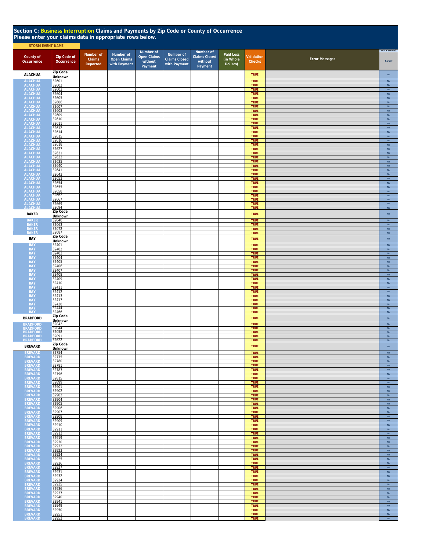|                                                                           | Section C: Business Interruption Claims and Payments by Zip Code or County of Occurrence<br>Please enter your claims data in appropriate rows below.<br><b>STORM EVENT NAME</b> |                                 |                                                 |                                                       |                                                   |                                                         |                                    |                            |                       |                                |  |  |  |
|---------------------------------------------------------------------------|---------------------------------------------------------------------------------------------------------------------------------------------------------------------------------|---------------------------------|-------------------------------------------------|-------------------------------------------------------|---------------------------------------------------|---------------------------------------------------------|------------------------------------|----------------------------|-----------------------|--------------------------------|--|--|--|
| County of<br>Occurrence                                                   | <b>Zip Code of</b><br>Occurrence                                                                                                                                                | Number of<br>Claims<br>Reported | Number of<br><b>Open Claims</b><br>with Payment | Number of<br><b>Open Claims</b><br>without<br>Payment | Number of<br><b>Claims Closed</b><br>with Payment | Number of<br><b>Claims Closed</b><br>without<br>Payment | Paid Loss<br>(in Whole<br>Dollars) | Validation<br>Checks       | <b>Error Messages</b> | TRADE SECRET?<br>As Set        |  |  |  |
| <b>ALACHUA</b>                                                            | Zip Code<br>Unknown                                                                                                                                                             |                                 |                                                 |                                                       |                                                   |                                                         |                                    | <b>TRUE</b>                |                       | $\mathsf{No}$                  |  |  |  |
| ALACHUA<br>ALACHUA<br>ALACHUA                                             | 32601<br>32602                                                                                                                                                                  |                                 |                                                 |                                                       |                                                   |                                                         |                                    | TRUE<br>TRUE               |                       | No<br>$\mathsf{No}$            |  |  |  |
|                                                                           | 32603<br>32604                                                                                                                                                                  |                                 |                                                 |                                                       |                                                   |                                                         |                                    | TRUE                       |                       | No                             |  |  |  |
| <b>ALACHUA</b><br><b>ALACHUA</b>                                          | 32605                                                                                                                                                                           |                                 |                                                 |                                                       |                                                   |                                                         |                                    | <b>TRUE</b><br>TRUE        |                       | No<br><b>No</b>                |  |  |  |
| <b>ALACHUA</b><br><b>ALACHUA</b>                                          | 32606<br>32607                                                                                                                                                                  |                                 |                                                 |                                                       |                                                   |                                                         |                                    | TRUE<br><b>TRUE</b>        |                       | <b>No</b><br><b>No</b>         |  |  |  |
| <b>ALACHUA</b><br><b>ALACHUA</b>                                          | 32608<br>32609                                                                                                                                                                  |                                 |                                                 |                                                       |                                                   |                                                         |                                    | TRUE<br>TRUE               |                       | No<br>$\mathsf{No}$            |  |  |  |
| <b>ALACHUA</b><br><b>ALACHUA</b>                                          | 32610<br>32611                                                                                                                                                                  |                                 |                                                 |                                                       |                                                   |                                                         |                                    | <b>TRUE</b><br><b>TRUE</b> |                       | No<br>$\mathsf{No}$            |  |  |  |
| <b>ALACHUA</b><br><b>ALACHUA</b>                                          | 32612<br>32614                                                                                                                                                                  |                                 |                                                 |                                                       |                                                   |                                                         |                                    | <b>TRUE</b><br><b>TRUE</b> |                       | $\mathsf{No}$<br>$\mathsf{No}$ |  |  |  |
| <b>ALACHUA</b><br><b>ALACHUA</b>                                          | 32615<br>32616                                                                                                                                                                  |                                 |                                                 |                                                       |                                                   |                                                         |                                    | <b>TRUE</b><br><b>TRUE</b> |                       | $\mathsf{No}$<br>$\mathsf{No}$ |  |  |  |
| <b>ALACHUA</b><br><b>ALACHUA</b>                                          | 32618<br>32627                                                                                                                                                                  |                                 |                                                 |                                                       |                                                   |                                                         |                                    | <b>TRUE</b><br><b>TRUE</b> |                       | $\mathsf{No}$<br>$\mathsf{No}$ |  |  |  |
| <b>ALACHUA</b><br><b>ALACHUA</b>                                          | 32631<br>32633                                                                                                                                                                  |                                 |                                                 |                                                       |                                                   |                                                         |                                    | TRUE<br>TRUE               |                       | No<br>No                       |  |  |  |
| <b>ALACHUA</b><br><b>ALACHUA</b>                                          | 32635<br>32640                                                                                                                                                                  |                                 |                                                 |                                                       |                                                   |                                                         |                                    | TRUE<br>TRUE               |                       | No<br><b>No</b>                |  |  |  |
| <b>ALACHUA</b><br><b>ALACHUA</b>                                          | 32641                                                                                                                                                                           |                                 |                                                 |                                                       |                                                   |                                                         |                                    | TRUE<br>TRUE               |                       | No<br>No                       |  |  |  |
| ALACHUA<br>ALACHUA<br>ALACHUA<br>ALACHUA<br>ALACHUA<br>ALACHUA<br>ALACHUA | 32643<br>32653                                                                                                                                                                  |                                 |                                                 |                                                       |                                                   |                                                         |                                    | TRUE                       |                       | No                             |  |  |  |
|                                                                           | 32654<br>32655                                                                                                                                                                  |                                 |                                                 |                                                       |                                                   |                                                         |                                    | TRUE<br>TRUE               |                       | No<br>$\mathsf{No}$            |  |  |  |
|                                                                           | 32658<br>32662                                                                                                                                                                  |                                 |                                                 |                                                       |                                                   |                                                         |                                    | TRUE<br>TRUE               |                       | No<br>$\mathsf{No}$            |  |  |  |
|                                                                           | 32667<br>32669                                                                                                                                                                  |                                 |                                                 |                                                       |                                                   |                                                         |                                    | TRUE<br>TRUE               |                       | No<br>No                       |  |  |  |
| <b>ALACHUA</b><br><b>BAKER</b>                                            | 32694<br>Zip Code                                                                                                                                                               |                                 |                                                 |                                                       |                                                   |                                                         |                                    | <b>TRUE</b><br><b>TRUE</b> |                       | <b>No</b><br>No                |  |  |  |
| <b>BAKER</b>                                                              | Unknown<br>32040                                                                                                                                                                |                                 |                                                 |                                                       |                                                   |                                                         |                                    | TRUE                       |                       | No                             |  |  |  |
| <b>BAKER</b>                                                              | 32063<br>32072                                                                                                                                                                  |                                 |                                                 |                                                       |                                                   |                                                         |                                    | TRUE<br>TRUE               |                       | ${\sf No}$<br>${\sf No}$       |  |  |  |
| BAKER<br>BAKER                                                            | 32087<br>Zip Code                                                                                                                                                               |                                 |                                                 |                                                       |                                                   |                                                         |                                    | <b>TRUE</b>                |                       | $\mathsf{No}$                  |  |  |  |
| BAY<br><b>BAY</b>                                                         | <b>Unknown</b><br>32401                                                                                                                                                         |                                 |                                                 |                                                       |                                                   |                                                         |                                    | TRUE<br><b>TRUE</b>        |                       | No<br>No                       |  |  |  |
| <b>BAY</b><br><b>BAY</b>                                                  | 32402<br>32403                                                                                                                                                                  |                                 |                                                 |                                                       |                                                   |                                                         |                                    | <b>TRUE</b><br>TRUE        |                       | <b>No</b><br>$\mathsf{No}$     |  |  |  |
| <b>BAY</b>                                                                | 32404<br>32405                                                                                                                                                                  |                                 |                                                 |                                                       |                                                   |                                                         |                                    | TRUE<br>TRUE               |                       | $_{\sf No}$<br>$_{\sf No}$     |  |  |  |
| BAY<br>BAY<br>BAY                                                         | 32406<br>32407                                                                                                                                                                  |                                 |                                                 |                                                       |                                                   |                                                         |                                    | TRUE<br>TRUE               |                       | No                             |  |  |  |
|                                                                           | 32408                                                                                                                                                                           |                                 |                                                 |                                                       |                                                   |                                                         |                                    | TRUE                       |                       | No<br>No                       |  |  |  |
| BAY<br>BAY<br>BAY<br>BAY                                                  | 32409<br>32410                                                                                                                                                                  |                                 |                                                 |                                                       |                                                   |                                                         |                                    | <b>TRUE</b><br><b>TRUE</b> |                       | $\mathsf{No}$<br>${\sf No}$    |  |  |  |
| <b>BAY</b><br><b>BAY</b>                                                  | 32411<br>32412                                                                                                                                                                  |                                 |                                                 |                                                       |                                                   |                                                         |                                    | <b>TRUE</b><br>TRUE        |                       | $\mathsf{No}$<br>$\mathsf{No}$ |  |  |  |
| <b>BAY</b><br><b>BAY</b>                                                  | 32413<br>32417                                                                                                                                                                  |                                 |                                                 |                                                       |                                                   |                                                         |                                    | TRUE<br>TRUE               |                       | $\mathsf{No}$<br>$\mathsf{No}$ |  |  |  |
| BAY<br>BAY<br>BAY                                                         | 32438<br>32444                                                                                                                                                                  |                                 |                                                 |                                                       |                                                   |                                                         |                                    | TRUE<br><b>TRUE</b>        |                       | $\mathsf{No}$<br>No            |  |  |  |
| <b>BRADFORD</b>                                                           | 32466<br>Zip Code                                                                                                                                                               |                                 |                                                 |                                                       |                                                   |                                                         |                                    | TRUE<br><b>TRUE</b>        |                       | $\mathsf{No}$<br>$\mathsf{No}$ |  |  |  |
| <b>BRADFORD</b>                                                           | Unknown<br>32042                                                                                                                                                                |                                 |                                                 |                                                       |                                                   |                                                         |                                    | TRUE                       |                       | $\mathsf{No}$                  |  |  |  |
| <b>BRADFORD</b><br><b>BRADFORD</b>                                        | 32044<br>32058                                                                                                                                                                  |                                 |                                                 |                                                       |                                                   |                                                         |                                    | <b>TRUE</b><br><b>TRUE</b> |                       | No<br>$\mathsf{No}$            |  |  |  |
| <b>BRADFORD</b><br><b>BRADFORD</b>                                        | 32091<br>32622                                                                                                                                                                  |                                 |                                                 |                                                       |                                                   |                                                         |                                    | <b>TRUE</b><br><b>TRUE</b> |                       | No<br>No                       |  |  |  |
| <b>BREVARD</b>                                                            | Zip Code<br><b>Unknown</b>                                                                                                                                                      |                                 |                                                 |                                                       |                                                   |                                                         |                                    | <b>TRUE</b>                |                       | $\mathsf{No}$                  |  |  |  |
| <b>BREVARD</b><br><b>BREVARD</b>                                          | 32754<br>32775                                                                                                                                                                  |                                 |                                                 |                                                       |                                                   |                                                         |                                    | <b>TRUE</b><br><b>TRUE</b> |                       | $\mathsf{No}$<br>$\mathsf{No}$ |  |  |  |
| <b>BREVARD</b><br><b>BREVARD</b>                                          | 32780<br>32781                                                                                                                                                                  |                                 |                                                 |                                                       |                                                   |                                                         |                                    | <b>TRUE</b><br>TRUE        |                       | $\mathsf{No}$<br>No            |  |  |  |
| <b>BREVARD</b><br><b>BREVARD</b>                                          | 32783<br>32796                                                                                                                                                                  |                                 |                                                 |                                                       |                                                   |                                                         |                                    | <b>TRUE</b><br><b>TRUE</b> |                       | No<br>No                       |  |  |  |
| <b>BREVARD</b><br><b>BREVARD</b>                                          | 32815<br>32899                                                                                                                                                                  |                                 |                                                 |                                                       |                                                   |                                                         |                                    | TRUE<br>TRUE               |                       | <b>No</b><br>No                |  |  |  |
| <b>BREVARD</b>                                                            | 32901<br>32902                                                                                                                                                                  |                                 |                                                 |                                                       |                                                   |                                                         |                                    | TRUE                       |                       | No<br>No                       |  |  |  |
| <b>BREVARD</b><br><b>BREVARD</b>                                          | 32903                                                                                                                                                                           |                                 |                                                 |                                                       |                                                   |                                                         |                                    | <b>TRUE</b><br><b>TRUE</b> |                       | No                             |  |  |  |
| <b>BREVARD</b><br><b>BREVARD</b>                                          | 32904<br>32905                                                                                                                                                                  |                                 |                                                 |                                                       |                                                   |                                                         |                                    | <b>TRUE</b><br><b>TRUE</b> |                       | $\mathsf{No}$<br>$\mathsf{No}$ |  |  |  |
| <b>BREVARD</b><br><b>BREVARD</b>                                          | 32906<br>32907                                                                                                                                                                  |                                 |                                                 |                                                       |                                                   |                                                         |                                    | <b>TRUE</b><br><b>TRUE</b> |                       | $\mathsf{No}$<br>$\mathsf{No}$ |  |  |  |
| <b>BREVARD</b><br><b>BREVARD</b>                                          | 32908<br>32909                                                                                                                                                                  |                                 |                                                 |                                                       |                                                   |                                                         |                                    | <b>TRUE</b><br><b>TRUE</b> |                       | No<br><b>No</b>                |  |  |  |
| <b>BREVARD</b><br><b>BREVARD</b>                                          | 32910<br>32911                                                                                                                                                                  |                                 |                                                 |                                                       |                                                   |                                                         |                                    | <b>TRUE</b><br>TRUE        |                       | No<br>No                       |  |  |  |
| <b>BREVARD</b><br><b>BREVARD</b>                                          | 32912<br>32919                                                                                                                                                                  |                                 |                                                 |                                                       |                                                   |                                                         |                                    | <b>TRUE</b><br>TRUE        |                       | No<br>$\mathsf{No}$            |  |  |  |
| <b>BREVARD</b><br><b>BREVARD</b>                                          | 32920<br>32922                                                                                                                                                                  |                                 |                                                 |                                                       |                                                   |                                                         |                                    | <b>TRUE</b><br><b>TRUE</b> |                       | No<br>$\mathsf{No}$            |  |  |  |
| <b>BREVARD</b><br><b>BREVARD</b>                                          | 32923<br>32924                                                                                                                                                                  |                                 |                                                 |                                                       |                                                   |                                                         |                                    | <b>TRUE</b><br><b>TRUE</b> |                       | No<br>$\mathsf{No}$            |  |  |  |
| <b>BREVARD</b><br><b>BREVARD</b>                                          | 32925<br>32926                                                                                                                                                                  |                                 |                                                 |                                                       |                                                   |                                                         |                                    | <b>TRUE</b><br><b>TRUE</b> |                       | $\mathsf{No}$<br>$\mathsf{No}$ |  |  |  |
| <b>BREVARD</b>                                                            | 32927                                                                                                                                                                           |                                 |                                                 |                                                       |                                                   |                                                         |                                    | TRUE                       |                       | No                             |  |  |  |
| <b>BREVARD</b><br><b>BREVARD</b>                                          | 32931<br>32932                                                                                                                                                                  |                                 |                                                 |                                                       |                                                   |                                                         |                                    | <b>TRUE</b><br>TRUE        |                       | No<br>No                       |  |  |  |
| <b>BREVARD</b><br><b>BREVARD</b>                                          | 32934<br>32935                                                                                                                                                                  |                                 |                                                 |                                                       |                                                   |                                                         |                                    | TRUE<br><b>TRUE</b>        |                       | <b>No</b><br>No                |  |  |  |
| <b>BREVARD</b><br><b>BREVARD</b>                                          | 32936<br>32937                                                                                                                                                                  |                                 |                                                 |                                                       |                                                   |                                                         |                                    | <b>TRUE</b><br><b>TRUE</b> |                       | No<br>$\mathsf{No}$            |  |  |  |
| <b>BREVARD</b><br><b>BREVARD</b>                                          | 32940<br>32941                                                                                                                                                                  |                                 |                                                 |                                                       |                                                   |                                                         |                                    | TRUE<br><b>TRUE</b>        |                       | No<br>No                       |  |  |  |
| <b>BREVARD</b><br><b>BREVARD</b>                                          | 32949<br>32950                                                                                                                                                                  |                                 |                                                 |                                                       |                                                   |                                                         |                                    | TRUE<br><b>TRUE</b>        |                       | No<br>$\mathsf{No}$            |  |  |  |
| <b>BREVARD</b><br><b>BREVARD</b>                                          | 32951<br>32952                                                                                                                                                                  |                                 |                                                 |                                                       |                                                   |                                                         |                                    | <b>TRUE</b><br><b>TRUE</b> |                       | $\mathsf{No}$<br>No            |  |  |  |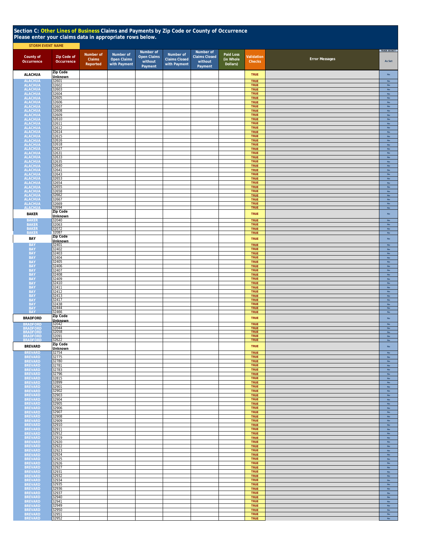| Section C: Other Lines of Business Claims and Payments by Zip Code or County of Occurrence<br>Please enter your claims data in appropriate rows below. |                            |                    |                                    |                                          |                                      |                                            |                       |                            |                       |                                |  |  |
|--------------------------------------------------------------------------------------------------------------------------------------------------------|----------------------------|--------------------|------------------------------------|------------------------------------------|--------------------------------------|--------------------------------------------|-----------------------|----------------------------|-----------------------|--------------------------------|--|--|
| <b>STORM EVENT NAME</b>                                                                                                                                |                            | Number of          | Number of                          | Number of                                | Number of                            | Number of                                  | Paid Loss             |                            |                       | TRADE SECRET?                  |  |  |
| County of<br>Occurrence                                                                                                                                | Zip Code of<br>Occurrence  | Claims<br>Reported | <b>Open Claims</b><br>with Payment | <b>Open Claims</b><br>without<br>Payment | <b>Claims Closed</b><br>with Payment | <b>Claims Closed</b><br>without<br>Payment | (in Whole<br>Dollars) | Validation<br>Checks       | <b>Error Messages</b> | As Set                         |  |  |
| <b>ALACHUA</b>                                                                                                                                         | Zip Code<br><b>Unknown</b> |                    |                                    |                                          |                                      |                                            |                       | <b>TRUE</b>                |                       | $_{\rm No}$                    |  |  |
| <b>ALACHUA</b>                                                                                                                                         | 32601<br>32602             |                    |                                    |                                          |                                      |                                            |                       | TRUE<br>TRUE               |                       | No<br>No                       |  |  |
| <b>ALACHUA</b><br>ALACHUA                                                                                                                              | 32603                      |                    |                                    |                                          |                                      |                                            |                       | TRUE                       |                       | No                             |  |  |
| <b>ALACHUA</b><br><b>ALACHUA</b>                                                                                                                       | 32604<br>32605             |                    |                                    |                                          |                                      |                                            |                       | <b>TRUE</b><br>TRUE        |                       | <b>No</b><br>No                |  |  |
| <b>ALACHUA</b><br><b>ALACHUA</b>                                                                                                                       | 32606<br>32607             |                    |                                    |                                          |                                      |                                            |                       | TRUE<br><b>TRUE</b>        |                       | $_{\sf No}$<br>No              |  |  |
| <b>ALACHUA</b><br><b>ALACHUA</b>                                                                                                                       | 32608<br>32609             |                    |                                    |                                          |                                      |                                            |                       | <b>TRUE</b><br><b>TRUE</b> |                       | $_{\sf No}$<br>$\mathsf{No}$   |  |  |
| <b>ALACHUA</b><br><b>ALACHUA</b>                                                                                                                       | 32610<br>32611             |                    |                                    |                                          |                                      |                                            |                       | <b>TRUE</b><br><b>TRUE</b> |                       | $\mathsf{No}$<br>$\mathsf{No}$ |  |  |
| <b>ALACHUA</b><br><b>ALACHUA</b>                                                                                                                       | 32612<br>32614             |                    |                                    |                                          |                                      |                                            |                       | <b>TRUE</b><br><b>TRUE</b> |                       | $\mathsf{No}$<br>No            |  |  |
| <b>ALACHUA</b><br><b>ALACHUA</b>                                                                                                                       | 32615<br>32616             |                    |                                    |                                          |                                      |                                            |                       | <b>TRUE</b><br><b>TRUE</b> |                       | No<br>No                       |  |  |
| <b>ALACHUA</b><br><b>ALACHUA</b>                                                                                                                       | 32618<br>32627             |                    |                                    |                                          |                                      |                                            |                       | <b>TRUE</b><br><b>TRUE</b> |                       | No<br>No                       |  |  |
| <b>ALACHUA</b><br><b>ALACHUA</b>                                                                                                                       | 32631                      |                    |                                    |                                          |                                      |                                            |                       | <b>TRUE</b><br><b>TRUE</b> |                       | <b>No</b><br>No                |  |  |
| <b>ALACHUA</b>                                                                                                                                         | 32633<br>32635             |                    |                                    |                                          |                                      |                                            |                       | <b>TRUE</b>                |                       | No                             |  |  |
| <b>ALACHUA</b><br>ALACHUA<br>ALACHUA                                                                                                                   | 32640<br>32641             |                    |                                    |                                          |                                      |                                            |                       | TRUE<br><b>TRUE</b>        |                       | No<br>No                       |  |  |
|                                                                                                                                                        | 32643<br>32653             |                    |                                    |                                          |                                      |                                            |                       | <b>TRUE</b><br><b>TRUE</b> |                       | No<br>No                       |  |  |
| ALACHUA<br>ALACHUA<br>ALACHUA<br>ALACHUA<br>ALACHUA<br>ALACHUA<br>ALACHUA<br>ALACHUA                                                                   | 32654<br>32655             |                    |                                    |                                          |                                      |                                            |                       | <b>TRUE</b><br><b>TRUE</b> |                       | $\mathsf{No}$<br>$\mathsf{No}$ |  |  |
|                                                                                                                                                        | 32658<br>32662             |                    |                                    |                                          |                                      |                                            |                       | <b>TRUE</b><br><b>TRUE</b> |                       | $\mathsf{No}$<br>No            |  |  |
|                                                                                                                                                        | 32667<br>32669             |                    |                                    |                                          |                                      |                                            |                       | <b>TRUE</b><br><b>TRUE</b> |                       | No<br>$_{\rm No}$              |  |  |
| <b>ALACHUA</b>                                                                                                                                         | 32694<br>Zip Code          |                    |                                    |                                          |                                      |                                            |                       | <b>TRUE</b>                |                       | No                             |  |  |
| <b>BAKER</b><br><b>BAKER</b>                                                                                                                           | Unknown<br>32040           |                    |                                    |                                          |                                      |                                            |                       | <b>TRUE</b>                |                       | $\mathsf{No}$                  |  |  |
| <b>BAKER</b>                                                                                                                                           | 32063                      |                    |                                    |                                          |                                      |                                            |                       | <b>TRUE</b><br><b>TRUE</b> |                       | $_{\rm No}$<br>$_{\rm No}$     |  |  |
| <b>BAKER</b><br>BAKER                                                                                                                                  | 32072<br>32087             |                    |                                    |                                          |                                      |                                            |                       | <b>TRUE</b><br><b>TRUE</b> |                       | No<br>No                       |  |  |
| BAY                                                                                                                                                    | Zip Code<br><b>Unknown</b> |                    |                                    |                                          |                                      |                                            |                       | <b>TRUE</b>                |                       | $\mathsf{No}$                  |  |  |
| <b>BAY</b><br><b>BAY</b>                                                                                                                               | 32401<br>32402             |                    |                                    |                                          |                                      |                                            |                       | <b>TRUE</b><br><b>TRUE</b> |                       | No<br>$_{\rm No}$              |  |  |
| <b>BAY</b><br><b>BAY</b>                                                                                                                               | 32403<br>32404             |                    |                                    |                                          |                                      |                                            |                       | <b>TRUE</b><br><b>TRUE</b> |                       | No<br>No                       |  |  |
| BAY<br>BAY                                                                                                                                             | 32405<br>32406             |                    |                                    |                                          |                                      |                                            |                       | <b>TRUE</b><br><b>TRUE</b> |                       | No<br>$_{\sf No}$              |  |  |
| <b>BAY</b><br><b>BAY</b>                                                                                                                               | 32407<br>32408             |                    |                                    |                                          |                                      |                                            |                       | <b>TRUE</b><br><b>TRUE</b> |                       | $_{\rm No}$<br>$\mathsf{No}$   |  |  |
| <b>BAY</b>                                                                                                                                             | 32409<br>32410             |                    |                                    |                                          |                                      |                                            |                       | <b>TRUE</b><br><b>TRUE</b> |                       | No<br>No                       |  |  |
| <b>BAY</b><br><b>BAY</b>                                                                                                                               | 32411                      |                    |                                    |                                          |                                      |                                            |                       | <b>TRUE</b>                |                       | No                             |  |  |
| <b>BAY</b><br><b>BAY</b>                                                                                                                               | 32412<br>32413             |                    |                                    |                                          |                                      |                                            |                       | <b>TRUE</b><br><b>TRUE</b> |                       | $_{\sf No}$<br>$_{\sf No}$     |  |  |
| <b>BAY</b>                                                                                                                                             | 32417<br>32438<br>32444    |                    |                                    |                                          |                                      |                                            |                       | <b>TRUE</b><br>TRUE        |                       | $_{\sf No}$<br>$_{\sf No}$     |  |  |
| BAY<br>BAY<br>BAY                                                                                                                                      | 32466                      |                    |                                    |                                          |                                      |                                            |                       | <b>TRUE</b><br><b>TRUE</b> |                       | No<br>$\mathsf{No}$            |  |  |
| <b>BRADFORD</b>                                                                                                                                        | Zip Code<br><b>Unknown</b> |                    |                                    |                                          |                                      |                                            |                       | <b>TRUE</b>                |                       | $_{\rm No}$                    |  |  |
| <b>BRADFORD</b><br><b>BRADFORD</b>                                                                                                                     | 32042<br>32044             |                    |                                    |                                          |                                      |                                            |                       | <b>TRUE</b><br><b>TRUE</b> |                       | $\mathsf{No}$<br>$_{\rm No}$   |  |  |
| <b>BRADFORD</b><br><b>BRADEORD</b>                                                                                                                     | 32058<br>32091             |                    |                                    |                                          |                                      |                                            |                       | <b>TRUE</b><br><b>TRUE</b> |                       | No<br><b>No</b>                |  |  |
| <b>BRADFORD</b><br><b>BREVARD</b>                                                                                                                      | 32622<br>Zip Code          |                    |                                    |                                          |                                      |                                            |                       | <b>TRUE</b><br><b>TRUE</b> |                       | $\mathsf{No}$<br>$\mathsf{No}$ |  |  |
| <b>BREVARD</b>                                                                                                                                         | Unknown<br>32754           |                    |                                    |                                          |                                      |                                            |                       | <b>TRUE</b>                |                       | No                             |  |  |
| <b>BREVARD</b><br><b>BREVARD</b>                                                                                                                       | 32775<br>32780             |                    |                                    |                                          |                                      |                                            |                       | <b>TRUE</b><br><b>TRUE</b> |                       | No<br>No                       |  |  |
| <b>BREVARD</b><br><b>BREVARD</b>                                                                                                                       | 32781<br>32783             |                    |                                    |                                          |                                      |                                            |                       | <b>TRUE</b><br><b>TRUE</b> |                       | <b>No</b><br>No                |  |  |
| <b>BREVARD</b><br><b>BREVARD</b>                                                                                                                       | 32796<br>32815             |                    |                                    |                                          |                                      |                                            |                       | <b>TRUE</b>                |                       | No                             |  |  |
| <b>BREVARD</b>                                                                                                                                         | 32899                      |                    |                                    |                                          |                                      |                                            |                       | <b>TRUE</b><br><b>TRUE</b> |                       | $_{\rm No}$<br>No              |  |  |
| <b>BREVARD</b><br><b>BREVARD</b>                                                                                                                       | 32901<br>32902             |                    |                                    |                                          |                                      |                                            |                       | <b>TRUE</b><br><b>TRUE</b> |                       | $\mathsf{No}$<br>$_{\rm No}$   |  |  |
| BREVARD<br><b>BREVARD</b>                                                                                                                              | 32903<br>32904             |                    |                                    |                                          |                                      |                                            |                       | <b>TRUE</b><br><b>TRUE</b> |                       | $\mathsf{No}$<br>$\mathsf{No}$ |  |  |
| <b>BREVARD</b><br><b>BREVARD</b>                                                                                                                       | 32905<br>32906             |                    |                                    |                                          |                                      |                                            |                       | <b>TRUE</b><br><b>TRUE</b> |                       | No<br><b>No</b>                |  |  |
| <b>BREVARD</b><br><b>BREVARD</b>                                                                                                                       | 32907<br>32908             |                    |                                    |                                          |                                      |                                            |                       | <b>TRUE</b><br><b>TRUE</b> |                       | No<br><b>No</b>                |  |  |
| <b>BREVARD</b><br><b>BREVARD</b>                                                                                                                       | 32909<br>32910             |                    |                                    |                                          |                                      |                                            |                       | TRUE<br><b>TRUE</b>        |                       | No<br>$\mathsf{No}$            |  |  |
| <b>BREVARD</b><br><b>BREVARD</b>                                                                                                                       | 32911<br>32912             |                    |                                    |                                          |                                      |                                            |                       | <b>TRUE</b><br><b>TRUE</b> |                       | $\mathsf{No}$<br>$\mathsf{No}$ |  |  |
| <b>BREVARD</b>                                                                                                                                         | 32919<br>32920             |                    |                                    |                                          |                                      |                                            |                       | <b>TRUE</b>                |                       | No                             |  |  |
| <b>BREVARD</b><br><b>BREVARD</b>                                                                                                                       | 32922                      |                    |                                    |                                          |                                      |                                            |                       | <b>TRUE</b><br><b>TRUE</b> |                       | $\mathsf{No}$<br>$\mathsf{No}$ |  |  |
| <b>BREVARD</b><br><b>BREVARD</b>                                                                                                                       | 32923<br>32924             |                    |                                    |                                          |                                      |                                            |                       | <b>TRUE</b><br><b>TRUE</b> |                       | $\mathsf{No}$<br>No            |  |  |
| <b>BREVARD</b><br><b>BREVARD</b>                                                                                                                       | 32925<br>32926             |                    |                                    |                                          |                                      |                                            |                       | <b>TRUE</b><br><b>TRUE</b> |                       | No<br>No                       |  |  |
| <b>BREVARD</b><br><b>BREVARD</b>                                                                                                                       | 32927<br>32931             |                    |                                    |                                          |                                      |                                            |                       | <b>TRUE</b><br><b>TRUE</b> |                       | <b>No</b><br>No                |  |  |
| <b>BREVARD</b><br><b>BREVARD</b>                                                                                                                       | 32932<br>32934             |                    |                                    |                                          |                                      |                                            |                       | <b>TRUE</b><br><b>TRUE</b> |                       | No<br>$_{\rm No}$              |  |  |
| <b>BREVARD</b><br><b>BREVARD</b>                                                                                                                       | 32935<br>32936             |                    |                                    |                                          |                                      |                                            |                       | <b>TRUE</b><br>TRUE        |                       | No<br>No                       |  |  |
| <b>BREVARD</b>                                                                                                                                         | 32937                      |                    |                                    |                                          |                                      |                                            |                       | <b>TRUE</b>                |                       | $\mathsf{No}$                  |  |  |
| <b>BREVARD</b><br><b>BREVARD</b>                                                                                                                       | 32940<br>32941             |                    |                                    |                                          |                                      |                                            |                       | <b>TRUE</b><br><b>TRUE</b> |                       | $\mathsf{No}$<br>$\mathsf{No}$ |  |  |
| <b>BREVARD</b><br><b>BREVARD</b>                                                                                                                       | 32949<br>32950             |                    |                                    |                                          |                                      |                                            |                       | <b>TRUE</b><br><b>TRUE</b> |                       | $\mathsf{No}$<br>No            |  |  |
| <b>BREVARD</b><br><b>BREVARD</b>                                                                                                                       | 32951<br>32952             |                    |                                    |                                          |                                      |                                            |                       | <b>TRUE</b><br><b>TRUE</b> |                       | $\mathsf{No}$<br>No            |  |  |